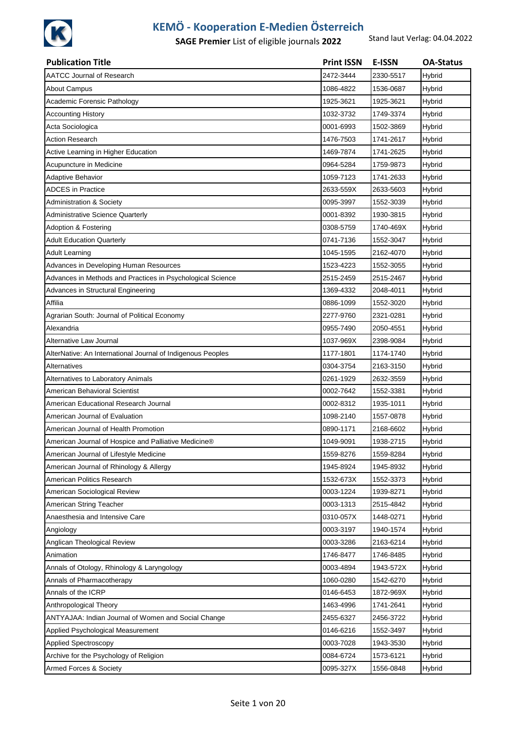

| <b>Publication Title</b>                                    | <b>Print ISSN</b> | <b>E-ISSN</b> | <b>OA-Status</b> |
|-------------------------------------------------------------|-------------------|---------------|------------------|
| <b>AATCC Journal of Research</b>                            | 2472-3444         | 2330-5517     | Hybrid           |
| <b>About Campus</b>                                         | 1086-4822         | 1536-0687     | Hybrid           |
| Academic Forensic Pathology                                 | 1925-3621         | 1925-3621     | Hybrid           |
| <b>Accounting History</b>                                   | 1032-3732         | 1749-3374     | Hybrid           |
| Acta Sociologica                                            | 0001-6993         | 1502-3869     | Hybrid           |
| <b>Action Research</b>                                      | 1476-7503         | 1741-2617     | Hybrid           |
| Active Learning in Higher Education                         | 1469-7874         | 1741-2625     | Hybrid           |
| Acupuncture in Medicine                                     | 0964-5284         | 1759-9873     | Hybrid           |
| Adaptive Behavior                                           | 1059-7123         | 1741-2633     | Hybrid           |
| <b>ADCES</b> in Practice                                    | 2633-559X         | 2633-5603     | Hybrid           |
| Administration & Society                                    | 0095-3997         | 1552-3039     | Hybrid           |
| Administrative Science Quarterly                            | 0001-8392         | 1930-3815     | Hybrid           |
| Adoption & Fostering                                        | 0308-5759         | 1740-469X     | Hybrid           |
| <b>Adult Education Quarterly</b>                            | 0741-7136         | 1552-3047     | Hybrid           |
| <b>Adult Learning</b>                                       | 1045-1595         | 2162-4070     | Hybrid           |
| Advances in Developing Human Resources                      | 1523-4223         | 1552-3055     | Hybrid           |
| Advances in Methods and Practices in Psychological Science  | 2515-2459         | 2515-2467     | Hybrid           |
| Advances in Structural Engineering                          | 1369-4332         | 2048-4011     | Hybrid           |
| Affilia                                                     | 0886-1099         | 1552-3020     | Hybrid           |
| Agrarian South: Journal of Political Economy                | 2277-9760         | 2321-0281     | Hybrid           |
| Alexandria                                                  | 0955-7490         | 2050-4551     | Hybrid           |
| Alternative Law Journal                                     | 1037-969X         | 2398-9084     | Hybrid           |
| AlterNative: An International Journal of Indigenous Peoples | 1177-1801         | 1174-1740     | Hybrid           |
| <b>Alternatives</b>                                         | 0304-3754         | 2163-3150     | Hybrid           |
| Alternatives to Laboratory Animals                          | 0261-1929         | 2632-3559     | Hybrid           |
| American Behavioral Scientist                               | 0002-7642         | 1552-3381     | Hybrid           |
| American Educational Research Journal                       | 0002-8312         | 1935-1011     | Hybrid           |
| American Journal of Evaluation                              | 1098-2140         | 1557-0878     | Hybrid           |
| American Journal of Health Promotion                        | 0890-1171         | 2168-6602     | Hybrid           |
| American Journal of Hospice and Palliative Medicine®        | 1049-9091         | 1938-2715     | Hybrid           |
| American Journal of Lifestyle Medicine                      | 1559-8276         | 1559-8284     | Hybrid           |
| American Journal of Rhinology & Allergy                     | 1945-8924         | 1945-8932     | Hybrid           |
| American Politics Research                                  | 1532-673X         | 1552-3373     | Hybrid           |
| American Sociological Review                                | 0003-1224         | 1939-8271     | Hybrid           |
| American String Teacher                                     | 0003-1313         | 2515-4842     | Hybrid           |
| Anaesthesia and Intensive Care                              | 0310-057X         | 1448-0271     | Hybrid           |
| Angiology                                                   | 0003-3197         | 1940-1574     | Hybrid           |
| Anglican Theological Review                                 | 0003-3286         | 2163-6214     | Hybrid           |
| Animation                                                   | 1746-8477         | 1746-8485     | Hybrid           |
| Annals of Otology, Rhinology & Laryngology                  | 0003-4894         | 1943-572X     | Hybrid           |
| Annals of Pharmacotherapy                                   | 1060-0280         | 1542-6270     | Hybrid           |
| Annals of the ICRP                                          | 0146-6453         | 1872-969X     | Hybrid           |
| Anthropological Theory                                      | 1463-4996         | 1741-2641     | Hybrid           |
| ANTYAJAA: Indian Journal of Women and Social Change         | 2455-6327         | 2456-3722     | Hybrid           |
| Applied Psychological Measurement                           | 0146-6216         | 1552-3497     | Hybrid           |
| <b>Applied Spectroscopy</b>                                 | 0003-7028         | 1943-3530     | Hybrid           |
| Archive for the Psychology of Religion                      | 0084-6724         | 1573-6121     | Hybrid           |
| Armed Forces & Society                                      | 0095-327X         | 1556-0848     | Hybrid           |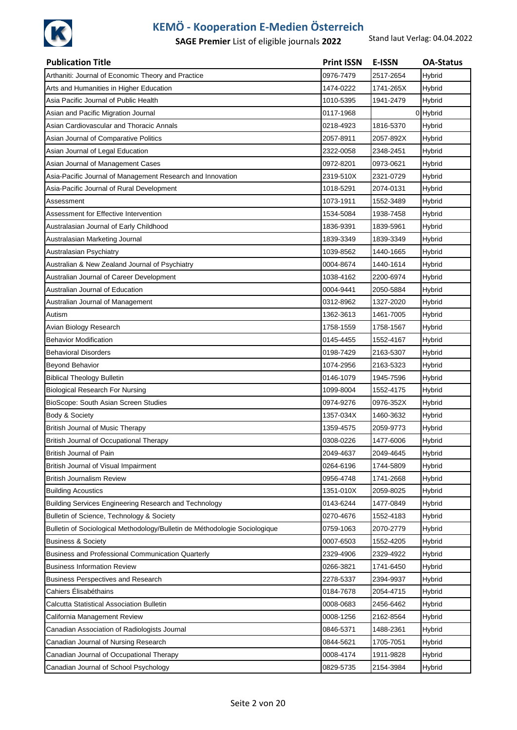

| <b>Publication Title</b>                                                   | <b>Print ISSN</b> | E-ISSN    | <b>OA-Status</b> |
|----------------------------------------------------------------------------|-------------------|-----------|------------------|
| Arthaniti: Journal of Economic Theory and Practice                         | 0976-7479         | 2517-2654 | Hybrid           |
| Arts and Humanities in Higher Education                                    | 1474-0222         | 1741-265X | Hybrid           |
| Asia Pacific Journal of Public Health                                      | 1010-5395         | 1941-2479 | Hybrid           |
| Asian and Pacific Migration Journal                                        | 0117-1968         |           | 0 Hybrid         |
| Asian Cardiovascular and Thoracic Annals                                   | 0218-4923         | 1816-5370 | Hybrid           |
| Asian Journal of Comparative Politics                                      | 2057-8911         | 2057-892X | <b>Hybrid</b>    |
| Asian Journal of Legal Education                                           | 2322-0058         | 2348-2451 | Hybrid           |
| Asian Journal of Management Cases                                          | 0972-8201         | 0973-0621 | Hybrid           |
| Asia-Pacific Journal of Management Research and Innovation                 | 2319-510X         | 2321-0729 | Hybrid           |
| Asia-Pacific Journal of Rural Development                                  | 1018-5291         | 2074-0131 | Hybrid           |
| Assessment                                                                 | 1073-1911         | 1552-3489 | Hybrid           |
| Assessment for Effective Intervention                                      | 1534-5084         | 1938-7458 | Hybrid           |
| Australasian Journal of Early Childhood                                    | 1836-9391         | 1839-5961 | Hybrid           |
| Australasian Marketing Journal                                             | 1839-3349         | 1839-3349 | Hybrid           |
| Australasian Psychiatry                                                    | 1039-8562         | 1440-1665 | Hybrid           |
| Australian & New Zealand Journal of Psychiatry                             | 0004-8674         | 1440-1614 | Hybrid           |
| Australian Journal of Career Development                                   | 1038-4162         | 2200-6974 | Hybrid           |
| Australian Journal of Education                                            | 0004-9441         | 2050-5884 | Hybrid           |
| Australian Journal of Management                                           | 0312-8962         | 1327-2020 | Hybrid           |
| Autism                                                                     | 1362-3613         | 1461-7005 | Hybrid           |
| Avian Biology Research                                                     | 1758-1559         | 1758-1567 | Hybrid           |
| <b>Behavior Modification</b>                                               | 0145-4455         | 1552-4167 | Hybrid           |
| Behavioral Disorders                                                       | 0198-7429         | 2163-5307 | Hybrid           |
| <b>Beyond Behavior</b>                                                     | 1074-2956         | 2163-5323 | Hybrid           |
| <b>Biblical Theology Bulletin</b>                                          | 0146-1079         | 1945-7596 | <b>Hybrid</b>    |
| <b>Biological Research For Nursing</b>                                     | 1099-8004         | 1552-4175 | Hybrid           |
| BioScope: South Asian Screen Studies                                       | 0974-9276         | 0976-352X | Hybrid           |
| Body & Society                                                             | 1357-034X         | 1460-3632 | Hybrid           |
| <b>British Journal of Music Therapy</b>                                    | 1359-4575         | 2059-9773 | Hybrid           |
| British Journal of Occupational Therapy                                    | 0308-0226         | 1477-6006 | <b>Hybrid</b>    |
| British Journal of Pain                                                    | 2049-4637         | 2049-4645 | <b>Hybrid</b>    |
| British Journal of Visual Impairment                                       | 0264-6196         | 1744-5809 | Hybrid           |
| British Journalism Review                                                  | 0956-4748         | 1741-2668 | Hybrid           |
| <b>Building Acoustics</b>                                                  | 1351-010X         | 2059-8025 | <b>Hybrid</b>    |
| Building Services Engineering Research and Technology                      | 0143-6244         | 1477-0849 | <b>Hybrid</b>    |
| Bulletin of Science, Technology & Society                                  | 0270-4676         | 1552-4183 | Hybrid           |
| Bulletin of Sociological Methodology/Bulletin de Méthodologie Sociologique | 0759-1063         | 2070-2779 | <b>Hybrid</b>    |
| <b>Business &amp; Society</b>                                              | 0007-6503         | 1552-4205 | Hybrid           |
| Business and Professional Communication Quarterly                          | 2329-4906         | 2329-4922 | Hybrid           |
| <b>Business Information Review</b>                                         | 0266-3821         | 1741-6450 | Hybrid           |
| <b>Business Perspectives and Research</b>                                  | 2278-5337         | 2394-9937 | Hybrid           |
| Cahiers Élisabéthains                                                      | 0184-7678         | 2054-4715 | <b>Hybrid</b>    |
| Calcutta Statistical Association Bulletin                                  | 0008-0683         | 2456-6462 | Hybrid           |
| California Management Review                                               | 0008-1256         | 2162-8564 | <b>Hybrid</b>    |
| Canadian Association of Radiologists Journal                               | 0846-5371         | 1488-2361 | Hybrid           |
| Canadian Journal of Nursing Research                                       | 0844-5621         | 1705-7051 | <b>Hybrid</b>    |
| Canadian Journal of Occupational Therapy                                   | 0008-4174         | 1911-9828 | <b>Hybrid</b>    |
| Canadian Journal of School Psychology                                      | 0829-5735         | 2154-3984 | <b>Hybrid</b>    |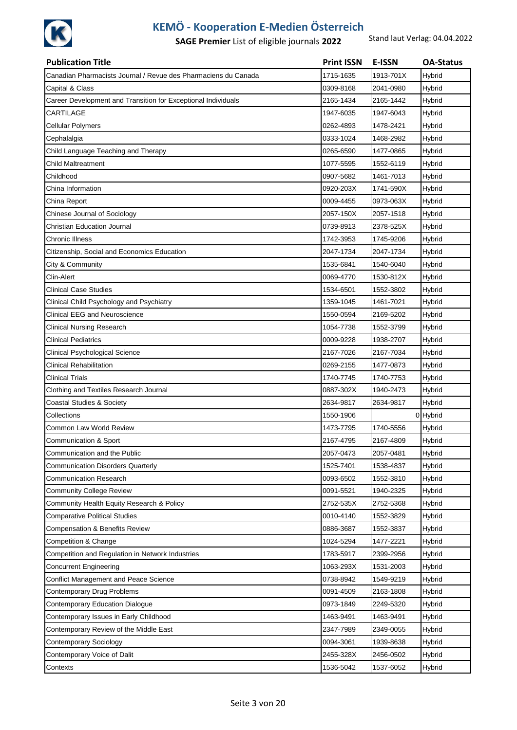

| <b>Publication Title</b>                                       | <b>Print ISSN</b> | <b>E-ISSN</b> | <b>OA-Status</b> |
|----------------------------------------------------------------|-------------------|---------------|------------------|
| Canadian Pharmacists Journal / Revue des Pharmaciens du Canada | 1715-1635         | 1913-701X     | Hybrid           |
| Capital & Class                                                | 0309-8168         | 2041-0980     | Hybrid           |
| Career Development and Transition for Exceptional Individuals  | 2165-1434         | 2165-1442     | Hybrid           |
| CARTILAGE                                                      | 1947-6035         | 1947-6043     | Hybrid           |
| <b>Cellular Polymers</b>                                       | 0262-4893         | 1478-2421     | Hybrid           |
| Cephalalgia                                                    | 0333-1024         | 1468-2982     | Hybrid           |
| Child Language Teaching and Therapy                            | 0265-6590         | 1477-0865     | Hybrid           |
| Child Maltreatment                                             | 1077-5595         | 1552-6119     | Hybrid           |
| Childhood                                                      | 0907-5682         | 1461-7013     | Hybrid           |
| China Information                                              | 0920-203X         | 1741-590X     | Hybrid           |
| China Report                                                   | 0009-4455         | 0973-063X     | Hybrid           |
| Chinese Journal of Sociology                                   | 2057-150X         | 2057-1518     | Hybrid           |
| <b>Christian Education Journal</b>                             | 0739-8913         | 2378-525X     | Hybrid           |
| <b>Chronic Illness</b>                                         | 1742-3953         | 1745-9206     | Hybrid           |
| Citizenship, Social and Economics Education                    | 2047-1734         | 2047-1734     | Hybrid           |
| City & Community                                               | 1535-6841         | 1540-6040     | Hybrid           |
| Clin-Alert                                                     | 0069-4770         | 1530-812X     | Hybrid           |
| <b>Clinical Case Studies</b>                                   | 1534-6501         | 1552-3802     | Hybrid           |
| Clinical Child Psychology and Psychiatry                       | 1359-1045         | 1461-7021     | Hybrid           |
| <b>Clinical EEG and Neuroscience</b>                           | 1550-0594         | 2169-5202     | Hybrid           |
| <b>Clinical Nursing Research</b>                               | 1054-7738         | 1552-3799     | Hybrid           |
| <b>Clinical Pediatrics</b>                                     | 0009-9228         | 1938-2707     | Hybrid           |
| Clinical Psychological Science                                 | 2167-7026         | 2167-7034     | Hybrid           |
| <b>Clinical Rehabilitation</b>                                 | 0269-2155         | 1477-0873     | Hybrid           |
| <b>Clinical Trials</b>                                         | 1740-7745         | 1740-7753     | Hybrid           |
| Clothing and Textiles Research Journal                         | 0887-302X         | 1940-2473     | Hybrid           |
| <b>Coastal Studies &amp; Society</b>                           | 2634-9817         | 2634-9817     | Hybrid           |
| Collections                                                    | 1550-1906         |               | 0 Hybrid         |
| Common Law World Review                                        | 1473-7795         | 1740-5556     | Hybrid           |
| Communication & Sport                                          | 2167-4795         | 2167-4809     | Hybrid           |
| Communication and the Public                                   | 2057-0473         | 2057-0481     | Hybrid           |
| <b>Communication Disorders Quarterly</b>                       | 1525-7401         | 1538-4837     | Hybrid           |
| <b>Communication Research</b>                                  | 0093-6502         | 1552-3810     | Hybrid           |
| <b>Community College Review</b>                                | 0091-5521         | 1940-2325     | Hybrid           |
| Community Health Equity Research & Policy                      | 2752-535X         | 2752-5368     | Hybrid           |
| <b>Comparative Political Studies</b>                           | 0010-4140         | 1552-3829     | Hybrid           |
| <b>Compensation &amp; Benefits Review</b>                      | 0886-3687         | 1552-3837     | <b>Hybrid</b>    |
| Competition & Change                                           | 1024-5294         | 1477-2221     | Hybrid           |
| Competition and Regulation in Network Industries               | 1783-5917         | 2399-2956     | Hybrid           |
| <b>Concurrent Engineering</b>                                  | 1063-293X         | 1531-2003     | Hybrid           |
| <b>Conflict Management and Peace Science</b>                   | 0738-8942         | 1549-9219     | Hybrid           |
| Contemporary Drug Problems                                     | 0091-4509         | 2163-1808     | <b>Hybrid</b>    |
| <b>Contemporary Education Dialogue</b>                         | 0973-1849         | 2249-5320     | Hybrid           |
| Contemporary Issues in Early Childhood                         | 1463-9491         | 1463-9491     | Hybrid           |
| Contemporary Review of the Middle East                         | 2347-7989         | 2349-0055     | Hybrid           |
| <b>Contemporary Sociology</b>                                  | 0094-3061         | 1939-8638     | Hybrid           |
| Contemporary Voice of Dalit                                    | 2455-328X         | 2456-0502     | Hybrid           |
| Contexts                                                       | 1536-5042         | 1537-6052     | Hybrid           |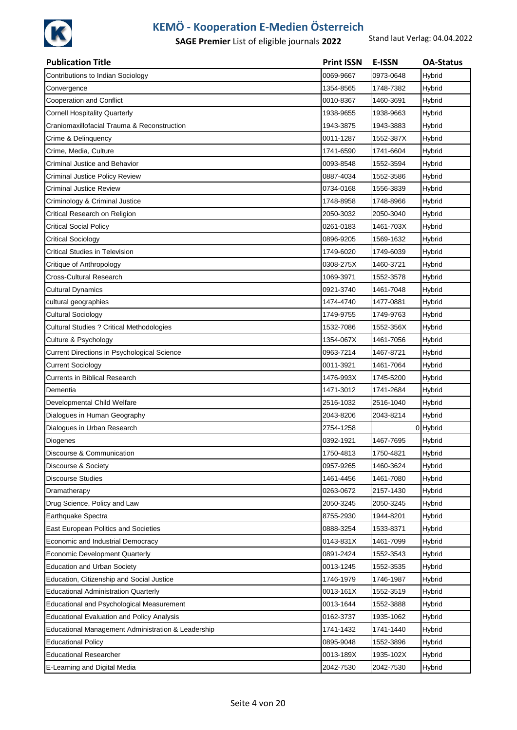

| <b>Publication Title</b>                           | <b>Print ISSN</b> | <b>E-ISSN</b> | <b>OA-Status</b> |
|----------------------------------------------------|-------------------|---------------|------------------|
| Contributions to Indian Sociology                  | 0069-9667         | 0973-0648     | Hybrid           |
| Convergence                                        | 1354-8565         | 1748-7382     | Hybrid           |
| Cooperation and Conflict                           | 0010-8367         | 1460-3691     | Hybrid           |
| <b>Cornell Hospitality Quarterly</b>               | 1938-9655         | 1938-9663     | Hybrid           |
| Craniomaxillofacial Trauma & Reconstruction        | 1943-3875         | 1943-3883     | Hybrid           |
| Crime & Delinquency                                | 0011-1287         | 1552-387X     | Hybrid           |
| Crime, Media, Culture                              | 1741-6590         | 1741-6604     | Hybrid           |
| Criminal Justice and Behavior                      | 0093-8548         | 1552-3594     | Hybrid           |
| <b>Criminal Justice Policy Review</b>              | 0887-4034         | 1552-3586     | Hybrid           |
| <b>Criminal Justice Review</b>                     | 0734-0168         | 1556-3839     | Hybrid           |
| Criminology & Criminal Justice                     | 1748-8958         | 1748-8966     | Hybrid           |
| Critical Research on Religion                      | 2050-3032         | 2050-3040     | Hybrid           |
| <b>Critical Social Policy</b>                      | 0261-0183         | 1461-703X     | Hybrid           |
| <b>Critical Sociology</b>                          | 0896-9205         | 1569-1632     | Hybrid           |
| <b>Critical Studies in Television</b>              | 1749-6020         | 1749-6039     | Hybrid           |
| Critique of Anthropology                           | 0308-275X         | 1460-3721     | Hybrid           |
| Cross-Cultural Research                            | 1069-3971         | 1552-3578     | Hybrid           |
| <b>Cultural Dynamics</b>                           | 0921-3740         | 1461-7048     | Hybrid           |
| cultural geographies                               | 1474-4740         | 1477-0881     | Hybrid           |
| <b>Cultural Sociology</b>                          | 1749-9755         | 1749-9763     | Hybrid           |
| <b>Cultural Studies ? Critical Methodologies</b>   | 1532-7086         | 1552-356X     | Hybrid           |
| Culture & Psychology                               | 1354-067X         | 1461-7056     | Hybrid           |
| Current Directions in Psychological Science        | 0963-7214         | 1467-8721     | Hybrid           |
| <b>Current Sociology</b>                           | 0011-3921         | 1461-7064     | Hybrid           |
| Currents in Biblical Research                      | 1476-993X         | 1745-5200     | Hybrid           |
| Dementia                                           | 1471-3012         | 1741-2684     | Hybrid           |
| Developmental Child Welfare                        | 2516-1032         | 2516-1040     | Hybrid           |
| Dialogues in Human Geography                       | 2043-8206         | 2043-8214     | Hybrid           |
| Dialogues in Urban Research                        | 2754-1258         |               | 0 Hybrid         |
| Diogenes                                           | 0392-1921         | 1467-7695     | Hybrid           |
| Discourse & Communication                          | 1750-4813         | 1750-4821     | Hybrid           |
| Discourse & Society                                | 0957-9265         | 1460-3624     | Hybrid           |
| <b>Discourse Studies</b>                           | 1461-4456         | 1461-7080     | Hybrid           |
| Dramatherapy                                       | 0263-0672         | 2157-1430     | Hybrid           |
| Drug Science, Policy and Law                       | 2050-3245         | 2050-3245     | Hybrid           |
| Earthquake Spectra                                 | 8755-2930         | 1944-8201     | Hybrid           |
| East European Politics and Societies               | 0888-3254         | 1533-8371     | Hybrid           |
| Economic and Industrial Democracy                  | 0143-831X         | 1461-7099     | Hybrid           |
| <b>Economic Development Quarterly</b>              | 0891-2424         | 1552-3543     | Hybrid           |
| <b>Education and Urban Society</b>                 | 0013-1245         | 1552-3535     | Hybrid           |
| Education, Citizenship and Social Justice          | 1746-1979         | 1746-1987     | Hybrid           |
| <b>Educational Administration Quarterly</b>        | 0013-161X         | 1552-3519     | Hybrid           |
| Educational and Psychological Measurement          | 0013-1644         | 1552-3888     | Hybrid           |
| <b>Educational Evaluation and Policy Analysis</b>  | 0162-3737         | 1935-1062     | Hybrid           |
| Educational Management Administration & Leadership | 1741-1432         | 1741-1440     | Hybrid           |
| <b>Educational Policy</b>                          | 0895-9048         | 1552-3896     | Hybrid           |
| <b>Educational Researcher</b>                      | 0013-189X         | 1935-102X     | Hybrid           |
| E-Learning and Digital Media                       | 2042-7530         | 2042-7530     | Hybrid           |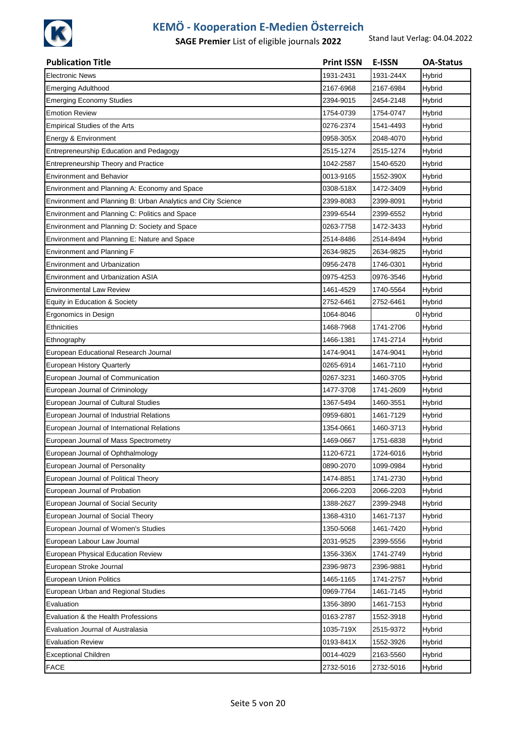

| <b>Publication Title</b>                                     | <b>Print ISSN</b> | <b>E-ISSN</b> | <b>OA-Status</b> |
|--------------------------------------------------------------|-------------------|---------------|------------------|
| <b>Electronic News</b>                                       | 1931-2431         | 1931-244X     | Hybrid           |
| <b>Emerging Adulthood</b>                                    | 2167-6968         | 2167-6984     | Hybrid           |
| <b>Emerging Economy Studies</b>                              | 2394-9015         | 2454-2148     | Hybrid           |
| Emotion Review                                               | 1754-0739         | 1754-0747     | Hybrid           |
| <b>Empirical Studies of the Arts</b>                         | 0276-2374         | 1541-4493     | Hybrid           |
| Energy & Environment                                         | 0958-305X         | 2048-4070     | Hybrid           |
| Entrepreneurship Education and Pedagogy                      | 2515-1274         | 2515-1274     | Hybrid           |
| Entrepreneurship Theory and Practice                         | 1042-2587         | 1540-6520     | Hybrid           |
| <b>Environment and Behavior</b>                              | 0013-9165         | 1552-390X     | Hybrid           |
| Environment and Planning A: Economy and Space                | 0308-518X         | 1472-3409     | Hybrid           |
| Environment and Planning B: Urban Analytics and City Science | 2399-8083         | 2399-8091     | Hybrid           |
| Environment and Planning C: Politics and Space               | 2399-6544         | 2399-6552     | Hybrid           |
| Environment and Planning D: Society and Space                | 0263-7758         | 1472-3433     | Hybrid           |
| Environment and Planning E: Nature and Space                 | 2514-8486         | 2514-8494     | Hybrid           |
| Environment and Planning F                                   | 2634-9825         | 2634-9825     | Hybrid           |
| <b>Environment and Urbanization</b>                          | 0956-2478         | 1746-0301     | Hybrid           |
| Environment and Urbanization ASIA                            | 0975-4253         | 0976-3546     | Hybrid           |
| Environmental Law Review                                     | 1461-4529         | 1740-5564     | <b>Hybrid</b>    |
| Equity in Education & Society                                | 2752-6461         | 2752-6461     | Hybrid           |
| Ergonomics in Design                                         | 1064-8046         |               | 0 Hybrid         |
| Ethnicities                                                  | 1468-7968         | 1741-2706     | Hybrid           |
| Ethnography                                                  | 1466-1381         | 1741-2714     | Hybrid           |
| European Educational Research Journal                        | 1474-9041         | 1474-9041     | Hybrid           |
| European History Quarterly                                   | 0265-6914         | 1461-7110     | Hybrid           |
| European Journal of Communication                            | 0267-3231         | 1460-3705     | Hybrid           |
| European Journal of Criminology                              | 1477-3708         | 1741-2609     | Hybrid           |
| European Journal of Cultural Studies                         | 1367-5494         | 1460-3551     | Hybrid           |
| European Journal of Industrial Relations                     | 0959-6801         | 1461-7129     | Hybrid           |
| European Journal of International Relations                  | 1354-0661         | 1460-3713     | Hybrid           |
| European Journal of Mass Spectrometry                        | 1469-0667         | 1751-6838     | Hybrid           |
| European Journal of Ophthalmology                            | 1120-6721         | 1724-6016     | Hybrid           |
| European Journal of Personality                              | 0890-2070         | 1099-0984     | <b>Hybrid</b>    |
| European Journal of Political Theory                         | 1474-8851         | 1741-2730     | Hybrid           |
| European Journal of Probation                                | 2066-2203         | 2066-2203     | Hybrid           |
| European Journal of Social Security                          | 1388-2627         | 2399-2948     | Hybrid           |
| European Journal of Social Theory                            | 1368-4310         | 1461-7137     | Hybrid           |
| European Journal of Women's Studies                          | 1350-5068         | 1461-7420     | <b>Hybrid</b>    |
| European Labour Law Journal                                  | 2031-9525         | 2399-5556     | Hybrid           |
| European Physical Education Review                           | 1356-336X         | 1741-2749     | Hybrid           |
| European Stroke Journal                                      | 2396-9873         | 2396-9881     | Hybrid           |
| <b>European Union Politics</b>                               | 1465-1165         | 1741-2757     | Hybrid           |
| European Urban and Regional Studies                          | 0969-7764         | 1461-7145     | Hybrid           |
| Evaluation                                                   | 1356-3890         | 1461-7153     | Hybrid           |
| Evaluation & the Health Professions                          | 0163-2787         | 1552-3918     | Hybrid           |
| Evaluation Journal of Australasia                            | 1035-719X         | 2515-9372     | Hybrid           |
| <b>Evaluation Review</b>                                     | 0193-841X         | 1552-3926     | Hybrid           |
| <b>Exceptional Children</b>                                  | 0014-4029         | 2163-5560     | Hybrid           |
| <b>FACE</b>                                                  | 2732-5016         | 2732-5016     | Hybrid           |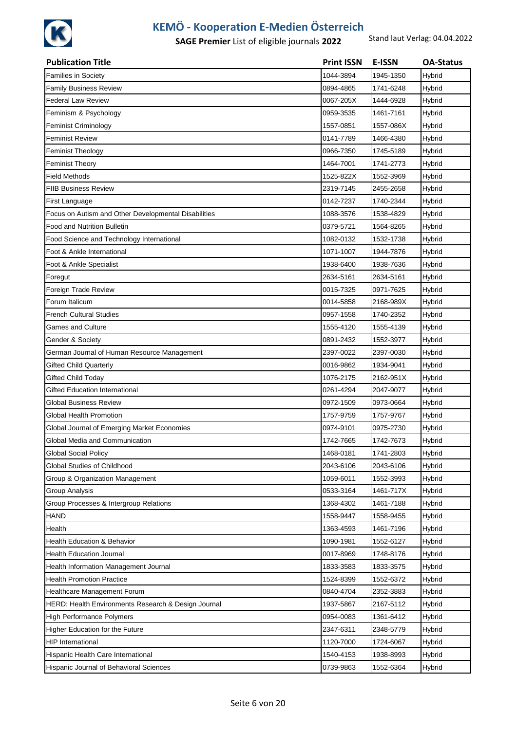

| <b>Publication Title</b>                             | <b>Print ISSN</b> | <b>E-ISSN</b> | <b>OA-Status</b> |
|------------------------------------------------------|-------------------|---------------|------------------|
| <b>Families in Society</b>                           | 1044-3894         | 1945-1350     | Hybrid           |
| <b>Family Business Review</b>                        | 0894-4865         | 1741-6248     | Hybrid           |
| <b>Federal Law Review</b>                            | 0067-205X         | 1444-6928     | Hybrid           |
| Feminism & Psychology                                | 0959-3535         | 1461-7161     | Hybrid           |
| <b>Feminist Criminology</b>                          | 1557-0851         | 1557-086X     | Hybrid           |
| <b>Feminist Review</b>                               | 0141-7789         | 1466-4380     | Hybrid           |
| <b>Feminist Theology</b>                             | 0966-7350         | 1745-5189     | Hybrid           |
| <b>Feminist Theory</b>                               | 1464-7001         | 1741-2773     | Hybrid           |
| <b>Field Methods</b>                                 | 1525-822X         | 1552-3969     | Hybrid           |
| <b>FIIB Business Review</b>                          | 2319-7145         | 2455-2658     | Hybrid           |
| First Language                                       | 0142-7237         | 1740-2344     | Hybrid           |
| Focus on Autism and Other Developmental Disabilities | 1088-3576         | 1538-4829     | Hybrid           |
| <b>Food and Nutrition Bulletin</b>                   | 0379-5721         | 1564-8265     | Hybrid           |
| Food Science and Technology International            | 1082-0132         | 1532-1738     | Hybrid           |
| Foot & Ankle International                           | 1071-1007         | 1944-7876     | Hybrid           |
| Foot & Ankle Specialist                              | 1938-6400         | 1938-7636     | Hybrid           |
| Foregut                                              | 2634-5161         | 2634-5161     | Hybrid           |
| Foreign Trade Review                                 | 0015-7325         | 0971-7625     | Hybrid           |
| Forum Italicum                                       | 0014-5858         | 2168-989X     | Hybrid           |
| <b>French Cultural Studies</b>                       | 0957-1558         | 1740-2352     | Hybrid           |
| <b>Games and Culture</b>                             | 1555-4120         | 1555-4139     | Hybrid           |
| Gender & Society                                     | 0891-2432         | 1552-3977     | Hybrid           |
| German Journal of Human Resource Management          | 2397-0022         | 2397-0030     | Hybrid           |
| <b>Gifted Child Quarterly</b>                        | 0016-9862         | 1934-9041     | Hybrid           |
| <b>Gifted Child Today</b>                            | 1076-2175         | 2162-951X     | Hybrid           |
| <b>Gifted Education International</b>                | 0261-4294         | 2047-9077     | Hybrid           |
| Global Business Review                               | 0972-1509         | 0973-0664     | Hybrid           |
| Global Health Promotion                              | 1757-9759         | 1757-9767     | Hybrid           |
| Global Journal of Emerging Market Economies          | 0974-9101         | 0975-2730     | Hybrid           |
| Global Media and Communication                       | 1742-7665         | 1742-7673     | Hybrid           |
| <b>Global Social Policy</b>                          | 1468-0181         | 1741-2803     | Hybrid           |
| Global Studies of Childhood                          | 2043-6106         | 2043-6106     | Hybrid           |
| Group & Organization Management                      | 1059-6011         | 1552-3993     | Hybrid           |
| <b>Group Analysis</b>                                | 0533-3164         | 1461-717X     | Hybrid           |
| Group Processes & Intergroup Relations               | 1368-4302         | 1461-7188     | Hybrid           |
| <b>HAND</b>                                          | 1558-9447         | 1558-9455     | Hybrid           |
| Health                                               | 1363-4593         | 1461-7196     | Hybrid           |
| Health Education & Behavior                          | 1090-1981         | 1552-6127     | Hybrid           |
| <b>Health Education Journal</b>                      | 0017-8969         | 1748-8176     | Hybrid           |
| Health Information Management Journal                | 1833-3583         | 1833-3575     | Hybrid           |
| <b>Health Promotion Practice</b>                     | 1524-8399         | 1552-6372     | Hybrid           |
| Healthcare Management Forum                          | 0840-4704         | 2352-3883     | Hybrid           |
| HERD: Health Environments Research & Design Journal  | 1937-5867         | 2167-5112     | Hybrid           |
| High Performance Polymers                            | 0954-0083         | 1361-6412     | Hybrid           |
| Higher Education for the Future                      | 2347-6311         | 2348-5779     | Hybrid           |
| <b>HIP International</b>                             | 1120-7000         | 1724-6067     | Hybrid           |
| Hispanic Health Care International                   | 1540-4153         | 1938-8993     | Hybrid           |
| Hispanic Journal of Behavioral Sciences              | 0739-9863         | 1552-6364     | Hybrid           |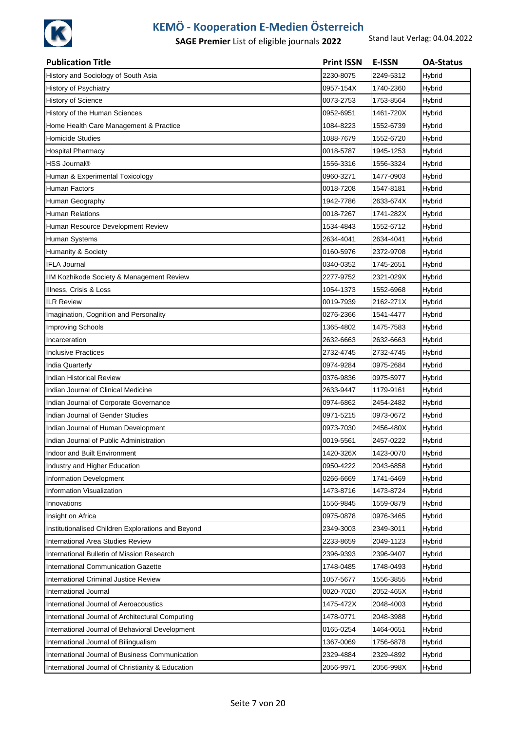

| <b>Publication Title</b>                           | <b>Print ISSN</b> | E-ISSN    | <b>OA-Status</b> |
|----------------------------------------------------|-------------------|-----------|------------------|
| History and Sociology of South Asia                | 2230-8075         | 2249-5312 | Hybrid           |
| History of Psychiatry                              | 0957-154X         | 1740-2360 | Hybrid           |
| History of Science                                 | 0073-2753         | 1753-8564 | Hybrid           |
| History of the Human Sciences                      | 0952-6951         | 1461-720X | Hybrid           |
| Home Health Care Management & Practice             | 1084-8223         | 1552-6739 | Hybrid           |
| <b>Homicide Studies</b>                            | 1088-7679         | 1552-6720 | Hybrid           |
| <b>Hospital Pharmacy</b>                           | 0018-5787         | 1945-1253 | Hybrid           |
| HSS Journal®                                       | 1556-3316         | 1556-3324 | Hybrid           |
| Human & Experimental Toxicology                    | 0960-3271         | 1477-0903 | Hybrid           |
| Human Factors                                      | 0018-7208         | 1547-8181 | Hybrid           |
| Human Geography                                    | 1942-7786         | 2633-674X | Hybrid           |
| <b>Human Relations</b>                             | 0018-7267         | 1741-282X | Hybrid           |
| Human Resource Development Review                  | 1534-4843         | 1552-6712 | Hybrid           |
| Human Systems                                      | 2634-4041         | 2634-4041 | Hybrid           |
| Humanity & Society                                 | 0160-5976         | 2372-9708 | Hybrid           |
| <b>IFLA Journal</b>                                | 0340-0352         | 1745-2651 | Hybrid           |
| IIM Kozhikode Society & Management Review          | 2277-9752         | 2321-029X | Hybrid           |
| Illness, Crisis & Loss                             | 1054-1373         | 1552-6968 | Hybrid           |
| <b>ILR Review</b>                                  | 0019-7939         | 2162-271X | Hybrid           |
| Imagination, Cognition and Personality             | 0276-2366         | 1541-4477 | Hybrid           |
| Improving Schools                                  | 1365-4802         | 1475-7583 | Hybrid           |
| Incarceration                                      | 2632-6663         | 2632-6663 | Hybrid           |
| <b>Inclusive Practices</b>                         | 2732-4745         | 2732-4745 | Hybrid           |
| India Quarterly                                    | 0974-9284         | 0975-2684 | Hybrid           |
| <b>Indian Historical Review</b>                    | 0376-9836         | 0975-5977 | Hybrid           |
| Indian Journal of Clinical Medicine                | 2633-9447         | 1179-9161 | Hybrid           |
| Indian Journal of Corporate Governance             | 0974-6862         | 2454-2482 | Hybrid           |
| Indian Journal of Gender Studies                   | 0971-5215         | 0973-0672 | Hybrid           |
| Indian Journal of Human Development                | 0973-7030         | 2456-480X | Hybrid           |
| Indian Journal of Public Administration            | 0019-5561         | 2457-0222 | Hybrid           |
| Indoor and Built Environment                       | 1420-326X         | 1423-0070 | Hybrid           |
| Industry and Higher Education                      | 0950-4222         | 2043-6858 | Hybrid           |
| Information Development                            | 0266-6669         | 1741-6469 | Hybrid           |
| Information Visualization                          | 1473-8716         | 1473-8724 | Hybrid           |
| Innovations                                        | 1556-9845         | 1559-0879 | Hybrid           |
| Insight on Africa                                  | 0975-0878         | 0976-3465 | Hybrid           |
| Institutionalised Children Explorations and Beyond | 2349-3003         | 2349-3011 | Hybrid           |
| International Area Studies Review                  | 2233-8659         | 2049-1123 | Hybrid           |
| International Bulletin of Mission Research         | 2396-9393         | 2396-9407 | Hybrid           |
| International Communication Gazette                | 1748-0485         | 1748-0493 | Hybrid           |
| <b>International Criminal Justice Review</b>       | 1057-5677         | 1556-3855 | Hybrid           |
| International Journal                              | 0020-7020         | 2052-465X | Hybrid           |
| International Journal of Aeroacoustics             | 1475-472X         | 2048-4003 | Hybrid           |
| International Journal of Architectural Computing   | 1478-0771         | 2048-3988 | Hybrid           |
| International Journal of Behavioral Development    | 0165-0254         | 1464-0651 | Hybrid           |
| International Journal of Bilingualism              | 1367-0069         | 1756-6878 | Hybrid           |
| International Journal of Business Communication    | 2329-4884         | 2329-4892 | Hybrid           |
| International Journal of Christianity & Education  | 2056-9971         | 2056-998X | Hybrid           |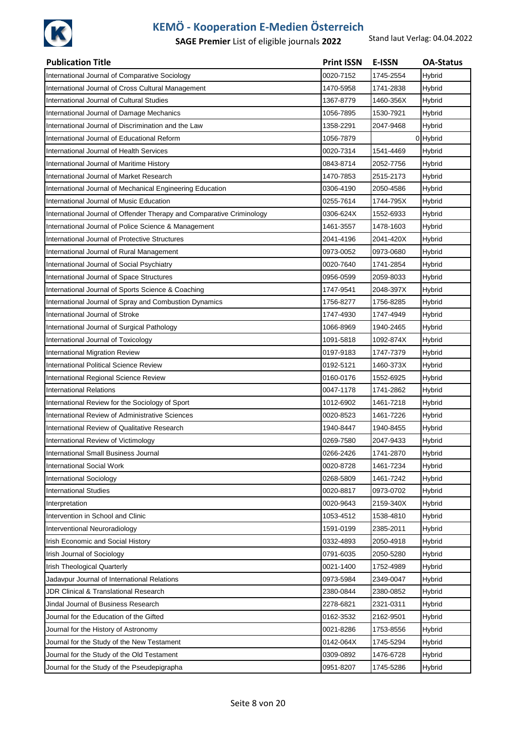

| <b>Publication Title</b>                                              | <b>Print ISSN</b> | <b>E-ISSN</b> | <b>OA-Status</b> |
|-----------------------------------------------------------------------|-------------------|---------------|------------------|
| International Journal of Comparative Sociology                        | 0020-7152         | 1745-2554     | Hybrid           |
| International Journal of Cross Cultural Management                    | 1470-5958         | 1741-2838     | Hybrid           |
| International Journal of Cultural Studies                             | 1367-8779         | 1460-356X     | Hybrid           |
| International Journal of Damage Mechanics                             | 1056-7895         | 1530-7921     | Hybrid           |
| International Journal of Discrimination and the Law                   | 1358-2291         | 2047-9468     | Hybrid           |
| International Journal of Educational Reform                           | 1056-7879         |               | 0 Hybrid         |
| International Journal of Health Services                              | 0020-7314         | 1541-4469     | Hybrid           |
| International Journal of Maritime History                             | 0843-8714         | 2052-7756     | Hybrid           |
| International Journal of Market Research                              | 1470-7853         | 2515-2173     | Hybrid           |
| International Journal of Mechanical Engineering Education             | 0306-4190         | 2050-4586     | Hybrid           |
| International Journal of Music Education                              | 0255-7614         | 1744-795X     | Hybrid           |
| International Journal of Offender Therapy and Comparative Criminology | 0306-624X         | 1552-6933     | Hybrid           |
| International Journal of Police Science & Management                  | 1461-3557         | 1478-1603     | Hybrid           |
| International Journal of Protective Structures                        | 2041-4196         | 2041-420X     | Hybrid           |
| International Journal of Rural Management                             | 0973-0052         | 0973-0680     | Hybrid           |
| International Journal of Social Psychiatry                            | 0020-7640         | 1741-2854     | Hybrid           |
| International Journal of Space Structures                             | 0956-0599         | 2059-8033     | Hybrid           |
| International Journal of Sports Science & Coaching                    | 1747-9541         | 2048-397X     | Hybrid           |
| International Journal of Spray and Combustion Dynamics                | 1756-8277         | 1756-8285     | Hybrid           |
| International Journal of Stroke                                       | 1747-4930         | 1747-4949     | Hybrid           |
| International Journal of Surgical Pathology                           | 1066-8969         | 1940-2465     | Hybrid           |
| International Journal of Toxicology                                   | 1091-5818         | 1092-874X     | Hybrid           |
| <b>International Migration Review</b>                                 | 0197-9183         | 1747-7379     | Hybrid           |
| <b>International Political Science Review</b>                         | 0192-5121         | 1460-373X     | Hybrid           |
| International Regional Science Review                                 | 0160-0176         | 1552-6925     | Hybrid           |
| <b>International Relations</b>                                        | 0047-1178         | 1741-2862     | Hybrid           |
| International Review for the Sociology of Sport                       | 1012-6902         | 1461-7218     | Hybrid           |
| International Review of Administrative Sciences                       | 0020-8523         | 1461-7226     | Hybrid           |
| International Review of Qualitative Research                          | 1940-8447         | 1940-8455     | Hybrid           |
| International Review of Victimology                                   | 0269-7580         | 2047-9433     | <b>Hybrid</b>    |
| International Small Business Journal                                  | 0266-2426         | 1741-2870     | Hybrid           |
| <b>International Social Work</b>                                      | 0020-8728         | 1461-7234     | Hybrid           |
| International Sociology                                               | 0268-5809         | 1461-7242     | Hybrid           |
| <b>International Studies</b>                                          | 0020-8817         | 0973-0702     | Hybrid           |
| Interpretation                                                        | 0020-9643         | 2159-340X     | <b>Hybrid</b>    |
| Intervention in School and Clinic                                     | 1053-4512         | 1538-4810     | Hybrid           |
| Interventional Neuroradiology                                         | 1591-0199         | 2385-2011     | Hybrid           |
| Irish Economic and Social History                                     | 0332-4893         | 2050-4918     | Hybrid           |
| Irish Journal of Sociology                                            | 0791-6035         | 2050-5280     | Hybrid           |
| Irish Theological Quarterly                                           | 0021-1400         | 1752-4989     | Hybrid           |
| Jadavpur Journal of International Relations                           | 0973-5984         | 2349-0047     | Hybrid           |
| JDR Clinical & Translational Research                                 | 2380-0844         | 2380-0852     | <b>Hybrid</b>    |
| Jindal Journal of Business Research                                   | 2278-6821         | 2321-0311     | Hybrid           |
| Journal for the Education of the Gifted                               | 0162-3532         | 2162-9501     | Hybrid           |
| Journal for the History of Astronomy                                  | 0021-8286         | 1753-8556     | Hybrid           |
| Journal for the Study of the New Testament                            | 0142-064X         | 1745-5294     | Hybrid           |
| Journal for the Study of the Old Testament                            | 0309-0892         | 1476-6728     | Hybrid           |
| Journal for the Study of the Pseudepigrapha                           | 0951-8207         | 1745-5286     | Hybrid           |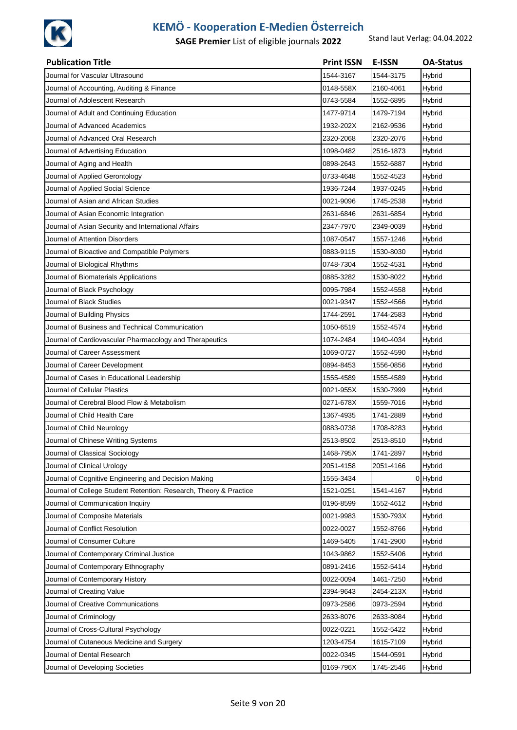

| <b>Publication Title</b>                                          | <b>Print ISSN</b> | <b>E-ISSN</b> | <b>OA-Status</b> |
|-------------------------------------------------------------------|-------------------|---------------|------------------|
| Journal for Vascular Ultrasound                                   | 1544-3167         | 1544-3175     | Hybrid           |
| Journal of Accounting, Auditing & Finance                         | 0148-558X         | 2160-4061     | Hybrid           |
| Journal of Adolescent Research                                    | 0743-5584         | 1552-6895     | Hybrid           |
| Journal of Adult and Continuing Education                         | 1477-9714         | 1479-7194     | Hybrid           |
| Journal of Advanced Academics                                     | 1932-202X         | 2162-9536     | Hybrid           |
| Journal of Advanced Oral Research                                 | 2320-2068         | 2320-2076     | Hybrid           |
| Journal of Advertising Education                                  | 1098-0482         | 2516-1873     | Hybrid           |
| Journal of Aging and Health                                       | 0898-2643         | 1552-6887     | Hybrid           |
| Journal of Applied Gerontology                                    | 0733-4648         | 1552-4523     | Hybrid           |
| Journal of Applied Social Science                                 | 1936-7244         | 1937-0245     | Hybrid           |
| Journal of Asian and African Studies                              | 0021-9096         | 1745-2538     | Hybrid           |
| Journal of Asian Economic Integration                             | 2631-6846         | 2631-6854     | Hybrid           |
| Journal of Asian Security and International Affairs               | 2347-7970         | 2349-0039     | Hybrid           |
| Journal of Attention Disorders                                    | 1087-0547         | 1557-1246     | Hybrid           |
| Journal of Bioactive and Compatible Polymers                      | 0883-9115         | 1530-8030     | Hybrid           |
| Journal of Biological Rhythms                                     | 0748-7304         | 1552-4531     | Hybrid           |
| Journal of Biomaterials Applications                              | 0885-3282         | 1530-8022     | Hybrid           |
| Journal of Black Psychology                                       | 0095-7984         | 1552-4558     | Hybrid           |
| Journal of Black Studies                                          | 0021-9347         | 1552-4566     | Hybrid           |
| Journal of Building Physics                                       | 1744-2591         | 1744-2583     | Hybrid           |
| Journal of Business and Technical Communication                   | 1050-6519         | 1552-4574     | Hybrid           |
| Journal of Cardiovascular Pharmacology and Therapeutics           | 1074-2484         | 1940-4034     | Hybrid           |
| Journal of Career Assessment                                      | 1069-0727         | 1552-4590     | Hybrid           |
| Journal of Career Development                                     | 0894-8453         | 1556-0856     | Hybrid           |
| Journal of Cases in Educational Leadership                        | 1555-4589         | 1555-4589     | Hybrid           |
| Journal of Cellular Plastics                                      | 0021-955X         | 1530-7999     | Hybrid           |
| Journal of Cerebral Blood Flow & Metabolism                       | 0271-678X         | 1559-7016     | Hybrid           |
| Journal of Child Health Care                                      | 1367-4935         | 1741-2889     | Hybrid           |
| Journal of Child Neurology                                        | 0883-0738         | 1708-8283     | Hybrid           |
| Journal of Chinese Writing Systems                                | 2513-8502         | 2513-8510     | Hybrid           |
| Journal of Classical Sociology                                    | 1468-795X         | 1741-2897     | Hybrid           |
| Journal of Clinical Urology                                       | 2051-4158         | 2051-4166     | Hybrid           |
| Journal of Cognitive Engineering and Decision Making              | 1555-3434         |               | 0 Hybrid         |
| Journal of College Student Retention: Research, Theory & Practice | 1521-0251         | 1541-4167     | Hybrid           |
| Journal of Communication Inquiry                                  | 0196-8599         | 1552-4612     | Hybrid           |
| Journal of Composite Materials                                    | 0021-9983         | 1530-793X     | Hybrid           |
| Journal of Conflict Resolution                                    | 0022-0027         | 1552-8766     | Hybrid           |
| Journal of Consumer Culture                                       | 1469-5405         | 1741-2900     | Hybrid           |
| Journal of Contemporary Criminal Justice                          | 1043-9862         | 1552-5406     | Hybrid           |
| Journal of Contemporary Ethnography                               | 0891-2416         | 1552-5414     | Hybrid           |
| Journal of Contemporary History                                   | 0022-0094         | 1461-7250     | Hybrid           |
| Journal of Creating Value                                         | 2394-9643         | 2454-213X     | <b>Hybrid</b>    |
| Journal of Creative Communications                                | 0973-2586         | 0973-2594     | Hybrid           |
| Journal of Criminology                                            | 2633-8076         | 2633-8084     | Hybrid           |
| Journal of Cross-Cultural Psychology                              | 0022-0221         | 1552-5422     | Hybrid           |
| Journal of Cutaneous Medicine and Surgery                         | 1203-4754         | 1615-7109     | Hybrid           |
| Journal of Dental Research                                        | 0022-0345         | 1544-0591     | Hybrid           |
| Journal of Developing Societies                                   | 0169-796X         | 1745-2546     | Hybrid           |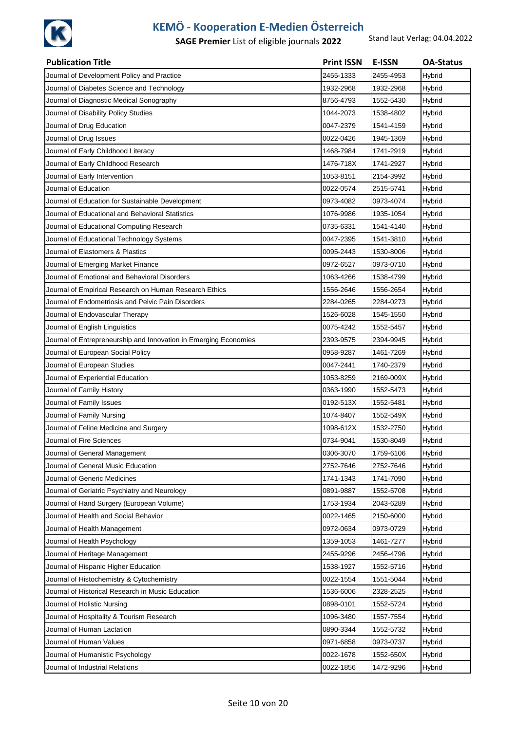

| <b>Publication Title</b>                                         | <b>Print ISSN</b> | <b>E-ISSN</b> | <b>OA-Status</b> |
|------------------------------------------------------------------|-------------------|---------------|------------------|
| Journal of Development Policy and Practice                       | 2455-1333         | 2455-4953     | Hybrid           |
| Journal of Diabetes Science and Technology                       | 1932-2968         | 1932-2968     | Hybrid           |
| Journal of Diagnostic Medical Sonography                         | 8756-4793         | 1552-5430     | Hybrid           |
| Journal of Disability Policy Studies                             | 1044-2073         | 1538-4802     | Hybrid           |
| Journal of Drug Education                                        | 0047-2379         | 1541-4159     | Hybrid           |
| Journal of Drug Issues                                           | 0022-0426         | 1945-1369     | Hybrid           |
| Journal of Early Childhood Literacy                              | 1468-7984         | 1741-2919     | Hybrid           |
| Journal of Early Childhood Research                              | 1476-718X         | 1741-2927     | Hybrid           |
| Journal of Early Intervention                                    | 1053-8151         | 2154-3992     | Hybrid           |
| Journal of Education                                             | 0022-0574         | 2515-5741     | Hybrid           |
| Journal of Education for Sustainable Development                 | 0973-4082         | 0973-4074     | Hybrid           |
| Journal of Educational and Behavioral Statistics                 | 1076-9986         | 1935-1054     | Hybrid           |
| Journal of Educational Computing Research                        | 0735-6331         | 1541-4140     | Hybrid           |
| Journal of Educational Technology Systems                        | 0047-2395         | 1541-3810     | Hybrid           |
| Journal of Elastomers & Plastics                                 | 0095-2443         | 1530-8006     | Hybrid           |
| Journal of Emerging Market Finance                               | 0972-6527         | 0973-0710     | Hybrid           |
| Journal of Emotional and Behavioral Disorders                    | 1063-4266         | 1538-4799     | Hybrid           |
| Journal of Empirical Research on Human Research Ethics           | 1556-2646         | 1556-2654     | Hybrid           |
| Journal of Endometriosis and Pelvic Pain Disorders               | 2284-0265         | 2284-0273     | Hybrid           |
| Journal of Endovascular Therapy                                  | 1526-6028         | 1545-1550     | Hybrid           |
| Journal of English Linguistics                                   | 0075-4242         | 1552-5457     | Hybrid           |
| Journal of Entrepreneurship and Innovation in Emerging Economies | 2393-9575         | 2394-9945     | Hybrid           |
| Journal of European Social Policy                                | 0958-9287         | 1461-7269     | Hybrid           |
| Journal of European Studies                                      | 0047-2441         | 1740-2379     | Hybrid           |
| Journal of Experiential Education                                | 1053-8259         | 2169-009X     | Hybrid           |
| Journal of Family History                                        | 0363-1990         | 1552-5473     | Hybrid           |
| Journal of Family Issues                                         | 0192-513X         | 1552-5481     | Hybrid           |
| Journal of Family Nursing                                        | 1074-8407         | 1552-549X     | Hybrid           |
| Journal of Feline Medicine and Surgery                           | 1098-612X         | 1532-2750     | Hybrid           |
| Journal of Fire Sciences                                         | 0734-9041         | 1530-8049     | Hybrid           |
| Journal of General Management                                    | 0306-3070         | 1759-6106     | Hybrid           |
| Journal of General Music Education                               | 2752-7646         | 2752-7646     | Hybrid           |
| Journal of Generic Medicines                                     | 1741-1343         | 1741-7090     | Hybrid           |
| Journal of Geriatric Psychiatry and Neurology                    | 0891-9887         | 1552-5708     | Hybrid           |
| Journal of Hand Surgery (European Volume)                        | 1753-1934         | 2043-6289     | Hybrid           |
| Journal of Health and Social Behavior                            | 0022-1465         | 2150-6000     | Hybrid           |
| Journal of Health Management                                     | 0972-0634         | 0973-0729     | Hybrid           |
| Journal of Health Psychology                                     | 1359-1053         | 1461-7277     | Hybrid           |
| Journal of Heritage Management                                   | 2455-9296         | 2456-4796     | Hybrid           |
| Journal of Hispanic Higher Education                             | 1538-1927         | 1552-5716     | Hybrid           |
| Journal of Histochemistry & Cytochemistry                        | 0022-1554         | 1551-5044     | Hybrid           |
| Journal of Historical Research in Music Education                | 1536-6006         | 2328-2525     | Hybrid           |
| Journal of Holistic Nursing                                      | 0898-0101         | 1552-5724     | Hybrid           |
| Journal of Hospitality & Tourism Research                        | 1096-3480         | 1557-7554     | Hybrid           |
| Journal of Human Lactation                                       | 0890-3344         | 1552-5732     | Hybrid           |
| Journal of Human Values                                          | 0971-6858         | 0973-0737     | Hybrid           |
| Journal of Humanistic Psychology                                 | 0022-1678         | 1552-650X     | Hybrid           |
| Journal of Industrial Relations                                  | 0022-1856         | 1472-9296     | Hybrid           |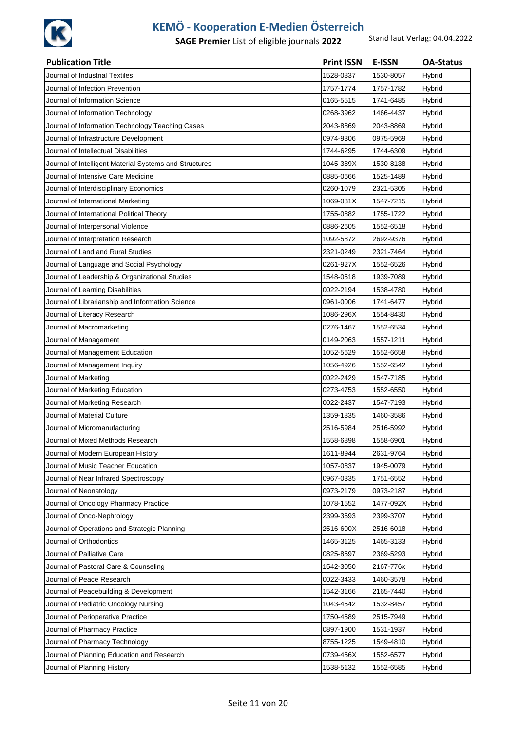

| <b>Publication Title</b>                               | <b>Print ISSN</b> | <b>E-ISSN</b> | <b>OA-Status</b> |
|--------------------------------------------------------|-------------------|---------------|------------------|
| Journal of Industrial Textiles                         | 1528-0837         | 1530-8057     | Hybrid           |
| Journal of Infection Prevention                        | 1757-1774         | 1757-1782     | Hybrid           |
| Journal of Information Science                         | 0165-5515         | 1741-6485     | Hybrid           |
| Journal of Information Technology                      | 0268-3962         | 1466-4437     | Hybrid           |
| Journal of Information Technology Teaching Cases       | 2043-8869         | 2043-8869     | Hybrid           |
| Journal of Infrastructure Development                  | 0974-9306         | 0975-5969     | Hybrid           |
| Journal of Intellectual Disabilities                   | 1744-6295         | 1744-6309     | Hybrid           |
| Journal of Intelligent Material Systems and Structures | 1045-389X         | 1530-8138     | Hybrid           |
| Journal of Intensive Care Medicine                     | 0885-0666         | 1525-1489     | Hybrid           |
| Journal of Interdisciplinary Economics                 | 0260-1079         | 2321-5305     | Hybrid           |
| Journal of International Marketing                     | 1069-031X         | 1547-7215     | Hybrid           |
| Journal of International Political Theory              | 1755-0882         | 1755-1722     | Hybrid           |
| Journal of Interpersonal Violence                      | 0886-2605         | 1552-6518     | Hybrid           |
| Journal of Interpretation Research                     | 1092-5872         | 2692-9376     | Hybrid           |
| Journal of Land and Rural Studies                      | 2321-0249         | 2321-7464     | Hybrid           |
| Journal of Language and Social Psychology              | 0261-927X         | 1552-6526     | Hybrid           |
| Journal of Leadership & Organizational Studies         | 1548-0518         | 1939-7089     | Hybrid           |
| Journal of Learning Disabilities                       | 0022-2194         | 1538-4780     | Hybrid           |
| Journal of Librarianship and Information Science       | 0961-0006         | 1741-6477     | Hybrid           |
| Journal of Literacy Research                           | 1086-296X         | 1554-8430     | Hybrid           |
| Journal of Macromarketing                              | 0276-1467         | 1552-6534     | Hybrid           |
| Journal of Management                                  | 0149-2063         | 1557-1211     | Hybrid           |
| Journal of Management Education                        | 1052-5629         | 1552-6658     | Hybrid           |
| Journal of Management Inquiry                          | 1056-4926         | 1552-6542     | Hybrid           |
| Journal of Marketing                                   | 0022-2429         | 1547-7185     | Hybrid           |
| Journal of Marketing Education                         | 0273-4753         | 1552-6550     | Hybrid           |
| Journal of Marketing Research                          | 0022-2437         | 1547-7193     | Hybrid           |
| Journal of Material Culture                            | 1359-1835         | 1460-3586     | Hybrid           |
| Journal of Micromanufacturing                          | 2516-5984         | 2516-5992     | Hybrid           |
| Journal of Mixed Methods Research                      | 1558-6898         | 1558-6901     | Hybrid           |
| Journal of Modern European History                     | 1611-8944         | 2631-9764     | Hybrid           |
| Journal of Music Teacher Education                     | 1057-0837         | 1945-0079     | Hybrid           |
| Journal of Near Infrared Spectroscopy                  | 0967-0335         | 1751-6552     | Hybrid           |
| Journal of Neonatology                                 | 0973-2179         | 0973-2187     | Hybrid           |
| Journal of Oncology Pharmacy Practice                  | 1078-1552         | 1477-092X     | Hybrid           |
| Journal of Onco-Nephrology                             | 2399-3693         | 2399-3707     | Hybrid           |
| Journal of Operations and Strategic Planning           | 2516-600X         | 2516-6018     | Hybrid           |
| Journal of Orthodontics                                | 1465-3125         | 1465-3133     | Hybrid           |
| Journal of Palliative Care                             | 0825-8597         | 2369-5293     | Hybrid           |
| Journal of Pastoral Care & Counseling                  | 1542-3050         | 2167-776x     | Hybrid           |
| Journal of Peace Research                              | 0022-3433         | 1460-3578     | Hybrid           |
| Journal of Peacebuilding & Development                 | 1542-3166         | 2165-7440     | <b>Hybrid</b>    |
| Journal of Pediatric Oncology Nursing                  | 1043-4542         | 1532-8457     | Hybrid           |
| Journal of Perioperative Practice                      | 1750-4589         | 2515-7949     | Hybrid           |
| Journal of Pharmacy Practice                           | 0897-1900         | 1531-1937     | Hybrid           |
| Journal of Pharmacy Technology                         | 8755-1225         | 1549-4810     | Hybrid           |
| Journal of Planning Education and Research             | 0739-456X         | 1552-6577     | Hybrid           |
| Journal of Planning History                            | 1538-5132         | 1552-6585     | <b>Hybrid</b>    |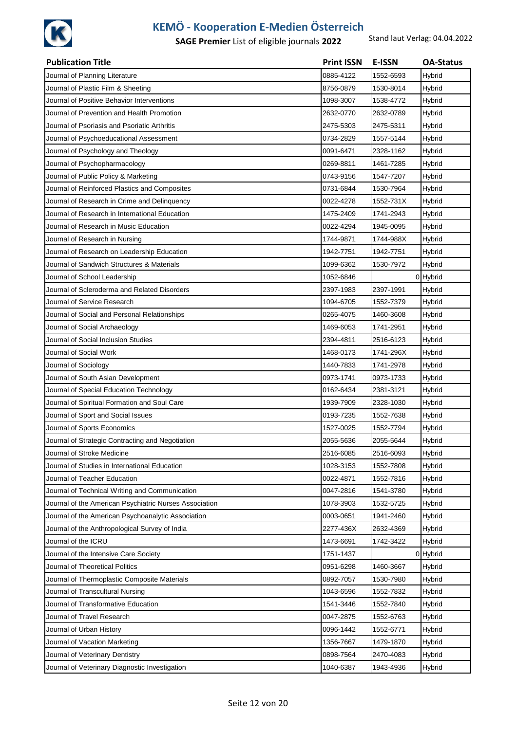

| <b>Publication Title</b>                               | <b>Print ISSN</b> | <b>E-ISSN</b> | <b>OA-Status</b> |
|--------------------------------------------------------|-------------------|---------------|------------------|
| Journal of Planning Literature                         | 0885-4122         | 1552-6593     | Hybrid           |
| Journal of Plastic Film & Sheeting                     | 8756-0879         | 1530-8014     | Hybrid           |
| Journal of Positive Behavior Interventions             | 1098-3007         | 1538-4772     | Hybrid           |
| Journal of Prevention and Health Promotion             | 2632-0770         | 2632-0789     | Hybrid           |
| Journal of Psoriasis and Psoriatic Arthritis           | 2475-5303         | 2475-5311     | Hybrid           |
| Journal of Psychoeducational Assessment                | 0734-2829         | 1557-5144     | Hybrid           |
| Journal of Psychology and Theology                     | 0091-6471         | 2328-1162     | Hybrid           |
| Journal of Psychopharmacology                          | 0269-8811         | 1461-7285     | Hybrid           |
| Journal of Public Policy & Marketing                   | 0743-9156         | 1547-7207     | Hybrid           |
| Journal of Reinforced Plastics and Composites          | 0731-6844         | 1530-7964     | Hybrid           |
| Journal of Research in Crime and Delinquency           | 0022-4278         | 1552-731X     | <b>Hybrid</b>    |
| Journal of Research in International Education         | 1475-2409         | 1741-2943     | <b>Hybrid</b>    |
| Journal of Research in Music Education                 | 0022-4294         | 1945-0095     | Hybrid           |
| Journal of Research in Nursing                         | 1744-9871         | 1744-988X     | Hybrid           |
| Journal of Research on Leadership Education            | 1942-7751         | 1942-7751     | Hybrid           |
| Journal of Sandwich Structures & Materials             | 1099-6362         | 1530-7972     | Hybrid           |
| Journal of School Leadership                           | 1052-6846         |               | 0 Hybrid         |
| Journal of Scleroderma and Related Disorders           | 2397-1983         | 2397-1991     | Hybrid           |
| Journal of Service Research                            | 1094-6705         | 1552-7379     | <b>Hybrid</b>    |
| Journal of Social and Personal Relationships           | 0265-4075         | 1460-3608     | Hybrid           |
| Journal of Social Archaeology                          | 1469-6053         | 1741-2951     | Hybrid           |
| Journal of Social Inclusion Studies                    | 2394-4811         | 2516-6123     | <b>Hybrid</b>    |
| Journal of Social Work                                 | 1468-0173         | 1741-296X     | Hybrid           |
| Journal of Sociology                                   | 1440-7833         | 1741-2978     | Hybrid           |
| Journal of South Asian Development                     | 0973-1741         | 0973-1733     | Hybrid           |
| Journal of Special Education Technology                | 0162-6434         | 2381-3121     | Hybrid           |
| Journal of Spiritual Formation and Soul Care           | 1939-7909         | 2328-1030     | Hybrid           |
| Journal of Sport and Social Issues                     | 0193-7235         | 1552-7638     | Hybrid           |
| Journal of Sports Economics                            | 1527-0025         | 1552-7794     | Hybrid           |
| Journal of Strategic Contracting and Negotiation       | 2055-5636         | 2055-5644     | Hybrid           |
| Journal of Stroke Medicine                             | 2516-6085         | 2516-6093     | <b>Hybrid</b>    |
| Journal of Studies in International Education          | 1028-3153         | 1552-7808     | Hybrid           |
| Journal of Teacher Education                           | 0022-4871         | 1552-7816     | Hybrid           |
| Journal of Technical Writing and Communication         | 0047-2816         | 1541-3780     | <b>Hybrid</b>    |
| Journal of the American Psychiatric Nurses Association | 1078-3903         | 1532-5725     | Hybrid           |
| Journal of the American Psychoanalytic Association     | 0003-0651         | 1941-2460     | <b>Hybrid</b>    |
| Journal of the Anthropological Survey of India         | 2277-436X         | 2632-4369     | <b>Hybrid</b>    |
| Journal of the ICRU                                    | 1473-6691         | 1742-3422     | <b>Hybrid</b>    |
| Journal of the Intensive Care Society                  | 1751-1437         |               | 0 Hybrid         |
| Journal of Theoretical Politics                        | 0951-6298         | 1460-3667     | Hybrid           |
| Journal of Thermoplastic Composite Materials           | 0892-7057         | 1530-7980     | <b>Hybrid</b>    |
| Journal of Transcultural Nursing                       | 1043-6596         | 1552-7832     | <b>Hybrid</b>    |
| Journal of Transformative Education                    | 1541-3446         | 1552-7840     | <b>Hybrid</b>    |
| Journal of Travel Research                             | 0047-2875         | 1552-6763     | <b>Hybrid</b>    |
| Journal of Urban History                               | 0096-1442         | 1552-6771     | Hybrid           |
| Journal of Vacation Marketing                          | 1356-7667         | 1479-1870     | <b>Hybrid</b>    |
| Journal of Veterinary Dentistry                        | 0898-7564         | 2470-4083     | Hybrid           |
| Journal of Veterinary Diagnostic Investigation         | 1040-6387         | 1943-4936     | <b>Hybrid</b>    |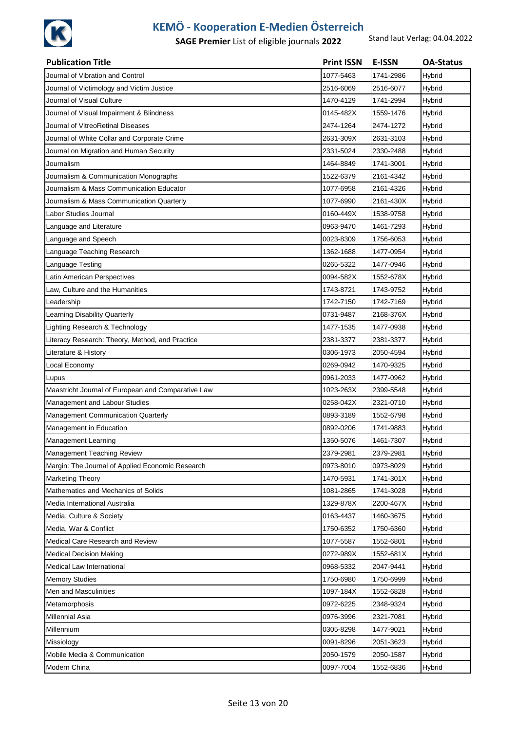

| <b>Publication Title</b>                           | <b>Print ISSN</b> | <b>E-ISSN</b> | <b>OA-Status</b> |
|----------------------------------------------------|-------------------|---------------|------------------|
| Journal of Vibration and Control                   | 1077-5463         | 1741-2986     | Hybrid           |
| Journal of Victimology and Victim Justice          | 2516-6069         | 2516-6077     | Hybrid           |
| Journal of Visual Culture                          | 1470-4129         | 1741-2994     | Hybrid           |
| Journal of Visual Impairment & Blindness           | 0145-482X         | 1559-1476     | Hybrid           |
| Journal of VitreoRetinal Diseases                  | 2474-1264         | 2474-1272     | Hybrid           |
| Journal of White Collar and Corporate Crime        | 2631-309X         | 2631-3103     | Hybrid           |
| Journal on Migration and Human Security            | 2331-5024         | 2330-2488     | Hybrid           |
| Journalism                                         | 1464-8849         | 1741-3001     | Hybrid           |
| Journalism & Communication Monographs              | 1522-6379         | 2161-4342     | Hybrid           |
| Journalism & Mass Communication Educator           | 1077-6958         | 2161-4326     | Hybrid           |
| Journalism & Mass Communication Quarterly          | 1077-6990         | 2161-430X     | Hybrid           |
| Labor Studies Journal                              | 0160-449X         | 1538-9758     | Hybrid           |
| Language and Literature                            | 0963-9470         | 1461-7293     | Hybrid           |
| Language and Speech                                | 0023-8309         | 1756-6053     | Hybrid           |
| Language Teaching Research                         | 1362-1688         | 1477-0954     | Hybrid           |
| Language Testing                                   | 0265-5322         | 1477-0946     | Hybrid           |
| Latin American Perspectives                        | 0094-582X         | 1552-678X     | Hybrid           |
| Law, Culture and the Humanities                    | 1743-8721         | 1743-9752     | Hybrid           |
| Leadership                                         | 1742-7150         | 1742-7169     | Hybrid           |
| Learning Disability Quarterly                      | 0731-9487         | 2168-376X     | Hybrid           |
| Lighting Research & Technology                     | 1477-1535         | 1477-0938     | Hybrid           |
| Literacy Research: Theory, Method, and Practice    | 2381-3377         | 2381-3377     | Hybrid           |
| Literature & History                               | 0306-1973         | 2050-4594     | <b>Hybrid</b>    |
| Local Economy                                      | 0269-0942         | 1470-9325     | Hybrid           |
| Lupus                                              | 0961-2033         | 1477-0962     | Hybrid           |
| Maastricht Journal of European and Comparative Law | 1023-263X         | 2399-5548     | Hybrid           |
| Management and Labour Studies                      | 0258-042X         | 2321-0710     | Hybrid           |
| Management Communication Quarterly                 | 0893-3189         | 1552-6798     | Hybrid           |
| Management in Education                            | 0892-0206         | 1741-9883     | Hybrid           |
| Management Learning                                | 1350-5076         | 1461-7307     | Hybrid           |
| Management Teaching Review                         | 2379-2981         | 2379-2981     | Hybrid           |
| Margin: The Journal of Applied Economic Research   | 0973-8010         | 0973-8029     | Hybrid           |
| <b>Marketing Theory</b>                            | 1470-5931         | 1741-301X     | Hybrid           |
| Mathematics and Mechanics of Solids                | 1081-2865         | 1741-3028     | Hybrid           |
| Media International Australia                      | 1329-878X         | 2200-467X     | Hybrid           |
| Media, Culture & Society                           | 0163-4437         | 1460-3675     | Hybrid           |
| Media, War & Conflict                              | 1750-6352         | 1750-6360     | Hybrid           |
| Medical Care Research and Review                   | 1077-5587         | 1552-6801     | Hybrid           |
| <b>Medical Decision Making</b>                     | 0272-989X         | 1552-681X     | Hybrid           |
| Medical Law International                          | 0968-5332         | 2047-9441     | Hybrid           |
| <b>Memory Studies</b>                              | 1750-6980         | 1750-6999     | Hybrid           |
| Men and Masculinities                              | 1097-184X         | 1552-6828     | Hybrid           |
| Metamorphosis                                      | 0972-6225         | 2348-9324     | Hybrid           |
| Millennial Asia                                    | 0976-3996         | 2321-7081     | Hybrid           |
| Millennium                                         | 0305-8298         | 1477-9021     | Hybrid           |
| Missiology                                         | 0091-8296         | 2051-3623     | Hybrid           |
| Mobile Media & Communication                       | 2050-1579         | 2050-1587     | Hybrid           |
| Modern China                                       | 0097-7004         | 1552-6836     | <b>Hybrid</b>    |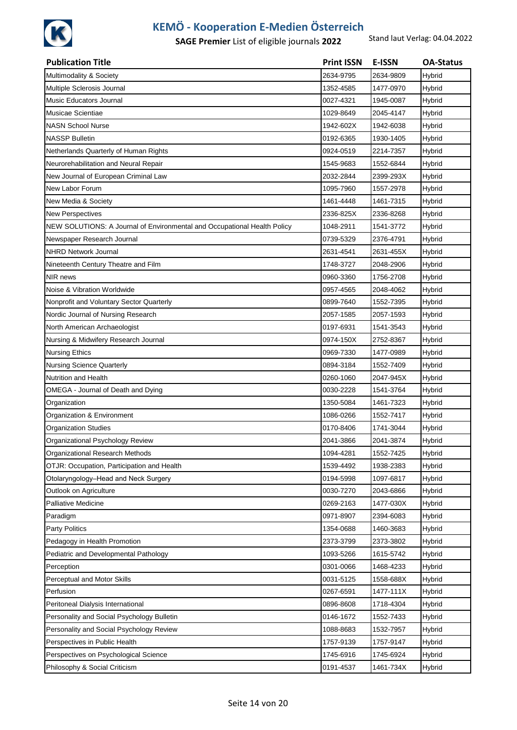

| <b>Publication Title</b>                                                 | <b>Print ISSN</b> | <b>E-ISSN</b> | <b>OA-Status</b> |
|--------------------------------------------------------------------------|-------------------|---------------|------------------|
| Multimodality & Society                                                  | 2634-9795         | 2634-9809     | Hybrid           |
| Multiple Sclerosis Journal                                               | 1352-4585         | 1477-0970     | Hybrid           |
| Music Educators Journal                                                  | 0027-4321         | 1945-0087     | Hybrid           |
| Musicae Scientiae                                                        | 1029-8649         | 2045-4147     | Hybrid           |
| <b>NASN School Nurse</b>                                                 | 1942-602X         | 1942-6038     | Hybrid           |
| <b>NASSP Bulletin</b>                                                    | 0192-6365         | 1930-1405     | Hybrid           |
| Netherlands Quarterly of Human Rights                                    | 0924-0519         | 2214-7357     | Hybrid           |
| Neurorehabilitation and Neural Repair                                    | 1545-9683         | 1552-6844     | Hybrid           |
| New Journal of European Criminal Law                                     | 2032-2844         | 2399-293X     | Hybrid           |
| New Labor Forum                                                          | 1095-7960         | 1557-2978     | Hybrid           |
| New Media & Society                                                      | 1461-4448         | 1461-7315     | <b>Hybrid</b>    |
| <b>New Perspectives</b>                                                  | 2336-825X         | 2336-8268     | Hybrid           |
| NEW SOLUTIONS: A Journal of Environmental and Occupational Health Policy | 1048-2911         | 1541-3772     | Hybrid           |
| Newspaper Research Journal                                               | 0739-5329         | 2376-4791     | Hybrid           |
| <b>NHRD Network Journal</b>                                              | 2631-4541         | 2631-455X     | Hybrid           |
| Nineteenth Century Theatre and Film                                      | 1748-3727         | 2048-2906     | Hybrid           |
| NIR news                                                                 | 0960-3360         | 1756-2708     | Hybrid           |
| Noise & Vibration Worldwide                                              | 0957-4565         | 2048-4062     | Hybrid           |
| Nonprofit and Voluntary Sector Quarterly                                 | 0899-7640         | 1552-7395     | Hybrid           |
| Nordic Journal of Nursing Research                                       | 2057-1585         | 2057-1593     | Hybrid           |
| North American Archaeologist                                             | 0197-6931         | 1541-3543     | Hybrid           |
| Nursing & Midwifery Research Journal                                     | 0974-150X         | 2752-8367     | Hybrid           |
| <b>Nursing Ethics</b>                                                    | 0969-7330         | 1477-0989     | Hybrid           |
| <b>Nursing Science Quarterly</b>                                         | 0894-3184         | 1552-7409     | Hybrid           |
| Nutrition and Health                                                     | 0260-1060         | 2047-945X     | Hybrid           |
| OMEGA - Journal of Death and Dying                                       | 0030-2228         | 1541-3764     | Hybrid           |
| Organization                                                             | 1350-5084         | 1461-7323     | Hybrid           |
| Organization & Environment                                               | 1086-0266         | 1552-7417     | Hybrid           |
| <b>Organization Studies</b>                                              | 0170-8406         | 1741-3044     | Hybrid           |
| Organizational Psychology Review                                         | 2041-3866         | 2041-3874     | Hybrid           |
| Organizational Research Methods                                          | 1094-4281         | 1552-7425     | Hybrid           |
| OTJR: Occupation, Participation and Health                               | 1539-4492         | 1938-2383     | Hybrid           |
| Otolaryngology-Head and Neck Surgery                                     | 0194-5998         | 1097-6817     | Hybrid           |
| Outlook on Agriculture                                                   | 0030-7270         | 2043-6866     | Hybrid           |
| <b>Palliative Medicine</b>                                               | 0269-2163         | 1477-030X     | Hybrid           |
| Paradigm                                                                 | 0971-8907         | 2394-6083     | Hybrid           |
| Party Politics                                                           | 1354-0688         | 1460-3683     | Hybrid           |
| Pedagogy in Health Promotion                                             | 2373-3799         | 2373-3802     | Hybrid           |
| Pediatric and Developmental Pathology                                    | 1093-5266         | 1615-5742     | Hybrid           |
| Perception                                                               | 0301-0066         | 1468-4233     | Hybrid           |
| Perceptual and Motor Skills                                              | 0031-5125         | 1558-688X     | Hybrid           |
| Perfusion                                                                | 0267-6591         | 1477-111X     | Hybrid           |
| Peritoneal Dialysis International                                        | 0896-8608         | 1718-4304     | Hybrid           |
| Personality and Social Psychology Bulletin                               | 0146-1672         | 1552-7433     | Hybrid           |
| Personality and Social Psychology Review                                 | 1088-8683         | 1532-7957     | Hybrid           |
| Perspectives in Public Health                                            | 1757-9139         | 1757-9147     | Hybrid           |
| Perspectives on Psychological Science                                    | 1745-6916         | 1745-6924     | Hybrid           |
| Philosophy & Social Criticism                                            | 0191-4537         | 1461-734X     | Hybrid           |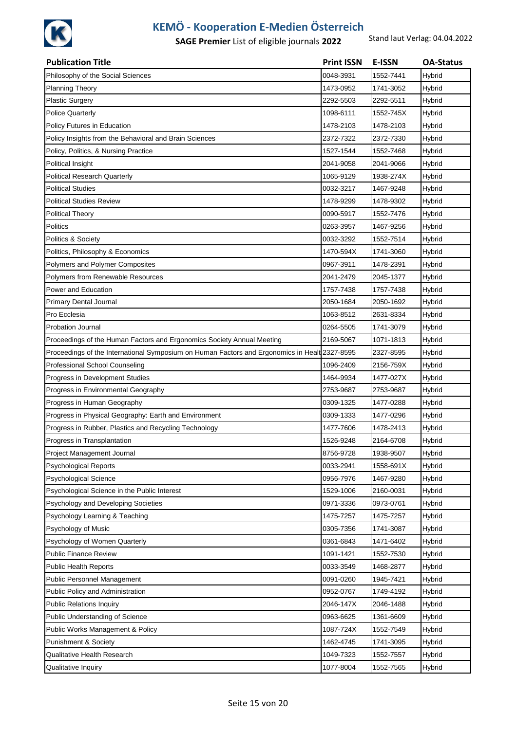

| <b>Publication Title</b>                                                                      | <b>Print ISSN</b> | E-ISSN    | <b>OA-Status</b> |
|-----------------------------------------------------------------------------------------------|-------------------|-----------|------------------|
| Philosophy of the Social Sciences                                                             | 0048-3931         | 1552-7441 | Hybrid           |
| <b>Planning Theory</b>                                                                        | 1473-0952         | 1741-3052 | Hybrid           |
| <b>Plastic Surgery</b>                                                                        | 2292-5503         | 2292-5511 | Hybrid           |
| <b>Police Quarterly</b>                                                                       | 1098-6111         | 1552-745X | Hybrid           |
| Policy Futures in Education                                                                   | 1478-2103         | 1478-2103 | Hybrid           |
| Policy Insights from the Behavioral and Brain Sciences                                        | 2372-7322         | 2372-7330 | Hybrid           |
| Policy, Politics, & Nursing Practice                                                          | 1527-1544         | 1552-7468 | Hybrid           |
| Political Insight                                                                             | 2041-9058         | 2041-9066 | Hybrid           |
| <b>Political Research Quarterly</b>                                                           | 1065-9129         | 1938-274X | Hybrid           |
| Political Studies                                                                             | 0032-3217         | 1467-9248 | Hybrid           |
| Political Studies Review                                                                      | 1478-9299         | 1478-9302 | Hybrid           |
| <b>Political Theory</b>                                                                       | 0090-5917         | 1552-7476 | Hybrid           |
| Politics                                                                                      | 0263-3957         | 1467-9256 | Hybrid           |
| Politics & Society                                                                            | 0032-3292         | 1552-7514 | Hybrid           |
| Politics, Philosophy & Economics                                                              | 1470-594X         | 1741-3060 | Hybrid           |
| Polymers and Polymer Composites                                                               | 0967-3911         | 1478-2391 | Hybrid           |
| <b>Polymers from Renewable Resources</b>                                                      | 2041-2479         | 2045-1377 | Hybrid           |
| Power and Education                                                                           | 1757-7438         | 1757-7438 | Hybrid           |
| <b>Primary Dental Journal</b>                                                                 | 2050-1684         | 2050-1692 | Hybrid           |
| Pro Ecclesia                                                                                  | 1063-8512         | 2631-8334 | Hybrid           |
| <b>Probation Journal</b>                                                                      | 0264-5505         | 1741-3079 | Hybrid           |
| Proceedings of the Human Factors and Ergonomics Society Annual Meeting                        | 2169-5067         | 1071-1813 | Hybrid           |
| Proceedings of the International Symposium on Human Factors and Ergonomics in Healt 2327-8595 |                   | 2327-8595 | Hybrid           |
| Professional School Counseling                                                                | 1096-2409         | 2156-759X | Hybrid           |
| Progress in Development Studies                                                               | 1464-9934         | 1477-027X | Hybrid           |
| Progress in Environmental Geography                                                           | 2753-9687         | 2753-9687 | Hybrid           |
| Progress in Human Geography                                                                   | 0309-1325         | 1477-0288 | Hybrid           |
| Progress in Physical Geography: Earth and Environment                                         | 0309-1333         | 1477-0296 | Hybrid           |
| Progress in Rubber, Plastics and Recycling Technology                                         | 1477-7606         | 1478-2413 | Hybrid           |
| Progress in Transplantation                                                                   | 1526-9248         | 2164-6708 | Hybrid           |
| Project Management Journal                                                                    | 8756-9728         | 1938-9507 | Hybrid           |
| Psychological Reports                                                                         | 0033-2941         | 1558-691X | Hybrid           |
| Psychological Science                                                                         | 0956-7976         | 1467-9280 | Hybrid           |
| Psychological Science in the Public Interest                                                  | 1529-1006         | 2160-0031 | Hybrid           |
| Psychology and Developing Societies                                                           | 0971-3336         | 0973-0761 | Hybrid           |
| Psychology Learning & Teaching                                                                | 1475-7257         | 1475-7257 | Hybrid           |
| Psychology of Music                                                                           | 0305-7356         | 1741-3087 | Hybrid           |
| Psychology of Women Quarterly                                                                 | 0361-6843         | 1471-6402 | Hybrid           |
| <b>Public Finance Review</b>                                                                  | 1091-1421         | 1552-7530 | Hybrid           |
| <b>Public Health Reports</b>                                                                  | 0033-3549         | 1468-2877 | Hybrid           |
| Public Personnel Management                                                                   | 0091-0260         | 1945-7421 | Hybrid           |
| Public Policy and Administration                                                              | 0952-0767         | 1749-4192 | Hybrid           |
| <b>Public Relations Inquiry</b>                                                               | 2046-147X         | 2046-1488 | Hybrid           |
| Public Understanding of Science                                                               | 0963-6625         | 1361-6609 | Hybrid           |
| Public Works Management & Policy                                                              | 1087-724X         | 1552-7549 | Hybrid           |
| Punishment & Society                                                                          | 1462-4745         | 1741-3095 | Hybrid           |
| Qualitative Health Research                                                                   | 1049-7323         | 1552-7557 | Hybrid           |
| Qualitative Inquiry                                                                           | 1077-8004         | 1552-7565 | Hybrid           |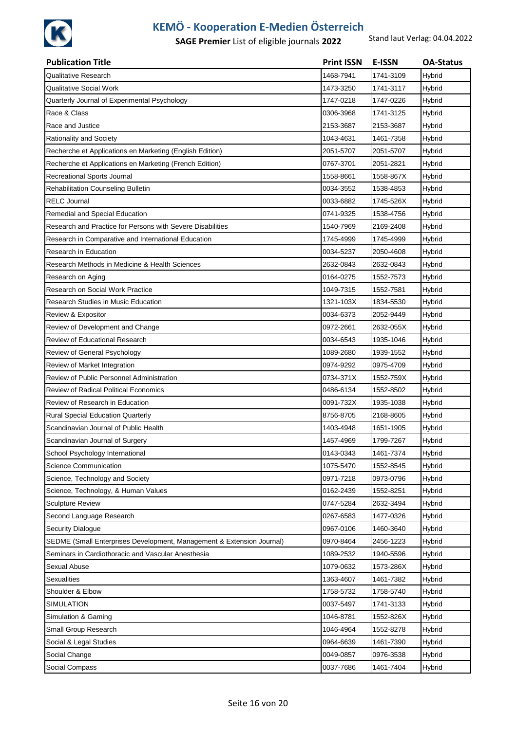

| <b>Publication Title</b>                                              | <b>Print ISSN</b> | <b>E-ISSN</b> | <b>OA-Status</b> |
|-----------------------------------------------------------------------|-------------------|---------------|------------------|
| Qualitative Research                                                  | 1468-7941         | 1741-3109     | Hybrid           |
| Qualitative Social Work                                               | 1473-3250         | 1741-3117     | Hybrid           |
| Quarterly Journal of Experimental Psychology                          | 1747-0218         | 1747-0226     | Hybrid           |
| Race & Class                                                          | 0306-3968         | 1741-3125     | Hybrid           |
| Race and Justice                                                      | 2153-3687         | 2153-3687     | Hybrid           |
| Rationality and Society                                               | 1043-4631         | 1461-7358     | Hybrid           |
| Recherche et Applications en Marketing (English Edition)              | 2051-5707         | 2051-5707     | Hybrid           |
| Recherche et Applications en Marketing (French Edition)               | 0767-3701         | 2051-2821     | Hybrid           |
| Recreational Sports Journal                                           | 1558-8661         | 1558-867X     | Hybrid           |
| Rehabilitation Counseling Bulletin                                    | 0034-3552         | 1538-4853     | Hybrid           |
| <b>RELC Journal</b>                                                   | 0033-6882         | 1745-526X     | Hybrid           |
| Remedial and Special Education                                        | 0741-9325         | 1538-4756     | Hybrid           |
| Research and Practice for Persons with Severe Disabilities            | 1540-7969         | 2169-2408     | Hybrid           |
| Research in Comparative and International Education                   | 1745-4999         | 1745-4999     | Hybrid           |
| Research in Education                                                 | 0034-5237         | 2050-4608     | Hybrid           |
| Research Methods in Medicine & Health Sciences                        | 2632-0843         | 2632-0843     | Hybrid           |
| Research on Aging                                                     | 0164-0275         | 1552-7573     | Hybrid           |
| Research on Social Work Practice                                      | 1049-7315         | 1552-7581     | Hybrid           |
| Research Studies in Music Education                                   | 1321-103X         | 1834-5530     | Hybrid           |
| Review & Expositor                                                    | 0034-6373         | 2052-9449     | Hybrid           |
| Review of Development and Change                                      | 0972-2661         | 2632-055X     | Hybrid           |
| Review of Educational Research                                        | 0034-6543         | 1935-1046     | Hybrid           |
| Review of General Psychology                                          | 1089-2680         | 1939-1552     | Hybrid           |
| Review of Market Integration                                          | 0974-9292         | 0975-4709     | Hybrid           |
| Review of Public Personnel Administration                             | 0734-371X         | 1552-759X     | Hybrid           |
| <b>Review of Radical Political Economics</b>                          | 0486-6134         | 1552-8502     | Hybrid           |
| Review of Research in Education                                       | 0091-732X         | 1935-1038     | Hybrid           |
| Rural Special Education Quarterly                                     | 8756-8705         | 2168-8605     | Hybrid           |
| Scandinavian Journal of Public Health                                 | 1403-4948         | 1651-1905     | Hybrid           |
| Scandinavian Journal of Surgery                                       | 1457-4969         | 1799-7267     | Hybrid           |
| School Psychology International                                       | 0143-0343         | 1461-7374     | Hybrid           |
| Science Communication                                                 | 1075-5470         | 1552-8545     | Hybrid           |
| Science, Technology and Society                                       | 0971-7218         | 0973-0796     | Hybrid           |
| Science, Technology, & Human Values                                   | 0162-2439         | 1552-8251     | Hybrid           |
| <b>Sculpture Review</b>                                               | 0747-5284         | 2632-3494     | Hybrid           |
| Second Language Research                                              | 0267-6583         | 1477-0326     | Hybrid           |
| <b>Security Dialogue</b>                                              | 0967-0106         | 1460-3640     | <b>Hybrid</b>    |
| SEDME (Small Enterprises Development, Management & Extension Journal) | 0970-8464         | 2456-1223     | Hybrid           |
| Seminars in Cardiothoracic and Vascular Anesthesia                    | 1089-2532         | 1940-5596     | Hybrid           |
| Sexual Abuse                                                          | 1079-0632         | 1573-286X     | Hybrid           |
| <b>Sexualities</b>                                                    | 1363-4607         | 1461-7382     | Hybrid           |
| Shoulder & Elbow                                                      | 1758-5732         | 1758-5740     | Hybrid           |
| SIMULATION                                                            | 0037-5497         | 1741-3133     | Hybrid           |
| Simulation & Gaming                                                   | 1046-8781         | 1552-826X     | Hybrid           |
| Small Group Research                                                  | 1046-4964         | 1552-8278     | Hybrid           |
| Social & Legal Studies                                                | 0964-6639         | 1461-7390     | Hybrid           |
| Social Change                                                         | 0049-0857         | 0976-3538     | Hybrid           |
| Social Compass                                                        | 0037-7686         | 1461-7404     | Hybrid           |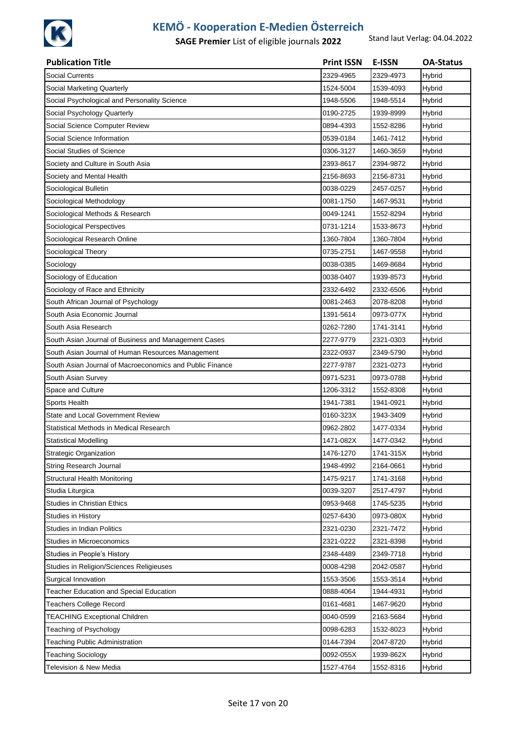

| <b>Publication Title</b>                                 | <b>Print ISSN</b> | <b>E-ISSN</b> | <b>OA-Status</b> |
|----------------------------------------------------------|-------------------|---------------|------------------|
| <b>Social Currents</b>                                   | 2329-4965         | 2329-4973     | Hybrid           |
| Social Marketing Quarterly                               | 1524-5004         | 1539-4093     | Hybrid           |
| Social Psychological and Personality Science             | 1948-5506         | 1948-5514     | Hybrid           |
| Social Psychology Quarterly                              | 0190-2725         | 1939-8999     | Hybrid           |
| Social Science Computer Review                           | 0894-4393         | 1552-8286     | Hybrid           |
| Social Science Information                               | 0539-0184         | 1461-7412     | Hybrid           |
| Social Studies of Science                                | 0306-3127         | 1460-3659     | Hybrid           |
| Society and Culture in South Asia                        | 2393-8617         | 2394-9872     | Hybrid           |
| Society and Mental Health                                | 2156-8693         | 2156-8731     | Hybrid           |
| Sociological Bulletin                                    | 0038-0229         | 2457-0257     | Hybrid           |
| Sociological Methodology                                 | 0081-1750         | 1467-9531     | Hybrid           |
| Sociological Methods & Research                          | 0049-1241         | 1552-8294     | Hybrid           |
| Sociological Perspectives                                | 0731-1214         | 1533-8673     | Hybrid           |
| Sociological Research Online                             | 1360-7804         | 1360-7804     | Hybrid           |
| Sociological Theory                                      | 0735-2751         | 1467-9558     | Hybrid           |
| Sociology                                                | 0038-0385         | 1469-8684     | Hybrid           |
| Sociology of Education                                   | 0038-0407         | 1939-8573     | Hybrid           |
| Sociology of Race and Ethnicity                          | 2332-6492         | 2332-6506     | Hybrid           |
| South African Journal of Psychology                      | 0081-2463         | 2078-8208     | Hybrid           |
| South Asia Economic Journal                              | 1391-5614         | 0973-077X     | Hybrid           |
| South Asia Research                                      | 0262-7280         | 1741-3141     | Hybrid           |
| South Asian Journal of Business and Management Cases     | 2277-9779         | 2321-0303     | Hybrid           |
| South Asian Journal of Human Resources Management        | 2322-0937         | 2349-5790     | Hybrid           |
| South Asian Journal of Macroeconomics and Public Finance | 2277-9787         | 2321-0273     | Hybrid           |
| South Asian Survey                                       | 0971-5231         | 0973-0788     | Hybrid           |
| Space and Culture                                        | 1206-3312         | 1552-8308     | Hybrid           |
| Sports Health                                            | 1941-7381         | 1941-0921     | Hybrid           |
| State and Local Government Review                        | 0160-323X         | 1943-3409     | Hybrid           |
| Statistical Methods in Medical Research                  | 0962-2802         | 1477-0334     | Hybrid           |
| <b>Statistical Modelling</b>                             | 1471-082X         | 1477-0342     | Hybrid           |
| <b>Strategic Organization</b>                            | 1476-1270         | 1741-315X     | Hybrid           |
| String Research Journal                                  | 1948-4992         | 2164-0661     | Hybrid           |
| <b>Structural Health Monitoring</b>                      | 1475-9217         | 1741-3168     | Hybrid           |
| Studia Liturgica                                         | 0039-3207         | 2517-4797     | Hybrid           |
| <b>Studies in Christian Ethics</b>                       | 0953-9468         | 1745-5235     | Hybrid           |
| Studies in History                                       | 0257-6430         | 0973-080X     | Hybrid           |
| <b>Studies in Indian Politics</b>                        | 2321-0230         | 2321-7472     | Hybrid           |
| Studies in Microeconomics                                | 2321-0222         | 2321-8398     | Hybrid           |
| Studies in People's History                              | 2348-4489         | 2349-7718     | Hybrid           |
| Studies in Religion/Sciences Religieuses                 | 0008-4298         | 2042-0587     | Hybrid           |
| Surgical Innovation                                      | 1553-3506         | 1553-3514     | Hybrid           |
| Teacher Education and Special Education                  | 0888-4064         | 1944-4931     | <b>Hybrid</b>    |
| <b>Teachers College Record</b>                           | 0161-4681         | 1467-9620     | Hybrid           |
| <b>TEACHING Exceptional Children</b>                     | 0040-0599         | 2163-5684     | Hybrid           |
| Teaching of Psychology                                   | 0098-6283         | 1532-8023     | Hybrid           |
| Teaching Public Administration                           | 0144-7394         | 2047-8720     | Hybrid           |
| <b>Teaching Sociology</b>                                | 0092-055X         | 1939-862X     | Hybrid           |
| Television & New Media                                   | 1527-4764         | 1552-8316     | Hybrid           |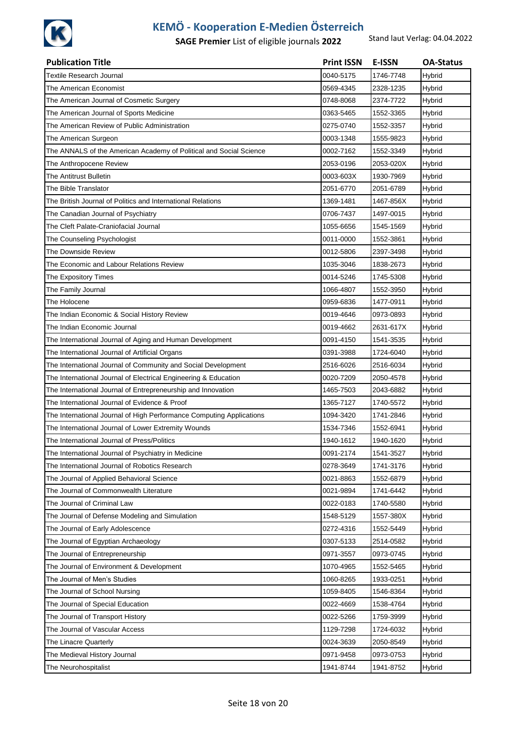

| <b>Publication Title</b>                                             | <b>Print ISSN</b> | <b>E-ISSN</b> | <b>OA-Status</b> |
|----------------------------------------------------------------------|-------------------|---------------|------------------|
| <b>Textile Research Journal</b>                                      | 0040-5175         | 1746-7748     | Hybrid           |
| The American Economist                                               | 0569-4345         | 2328-1235     | Hybrid           |
| The American Journal of Cosmetic Surgery                             | 0748-8068         | 2374-7722     | Hybrid           |
| The American Journal of Sports Medicine                              | 0363-5465         | 1552-3365     | Hybrid           |
| The American Review of Public Administration                         | 0275-0740         | 1552-3357     | Hybrid           |
| The American Surgeon                                                 | 0003-1348         | 1555-9823     | Hybrid           |
| The ANNALS of the American Academy of Political and Social Science   | 0002-7162         | 1552-3349     | Hybrid           |
| The Anthropocene Review                                              | 2053-0196         | 2053-020X     | Hybrid           |
| The Antitrust Bulletin                                               | 0003-603X         | 1930-7969     | Hybrid           |
| The Bible Translator                                                 | 2051-6770         | 2051-6789     | Hybrid           |
| The British Journal of Politics and International Relations          | 1369-1481         | 1467-856X     | Hybrid           |
| The Canadian Journal of Psychiatry                                   | 0706-7437         | 1497-0015     | Hybrid           |
| The Cleft Palate-Craniofacial Journal                                | 1055-6656         | 1545-1569     | Hybrid           |
| The Counseling Psychologist                                          | 0011-0000         | 1552-3861     | Hybrid           |
| The Downside Review                                                  | 0012-5806         | 2397-3498     | Hybrid           |
| The Economic and Labour Relations Review                             | 1035-3046         | 1838-2673     | Hybrid           |
| The Expository Times                                                 | 0014-5246         | 1745-5308     | Hybrid           |
| The Family Journal                                                   | 1066-4807         | 1552-3950     | Hybrid           |
| The Holocene                                                         | 0959-6836         | 1477-0911     | Hybrid           |
| The Indian Economic & Social History Review                          | 0019-4646         | 0973-0893     | Hybrid           |
| The Indian Economic Journal                                          | 0019-4662         | 2631-617X     | Hybrid           |
| The International Journal of Aging and Human Development             | 0091-4150         | 1541-3535     | Hybrid           |
| The International Journal of Artificial Organs                       | 0391-3988         | 1724-6040     | Hybrid           |
| The International Journal of Community and Social Development        | 2516-6026         | 2516-6034     | Hybrid           |
| The International Journal of Electrical Engineering & Education      | 0020-7209         | 2050-4578     | Hybrid           |
| The International Journal of Entrepreneurship and Innovation         | 1465-7503         | 2043-6882     | Hybrid           |
| The International Journal of Evidence & Proof                        | 1365-7127         | 1740-5572     | Hybrid           |
| The International Journal of High Performance Computing Applications | 1094-3420         | 1741-2846     | Hybrid           |
| The International Journal of Lower Extremity Wounds                  | 1534-7346         | 1552-6941     | Hybrid           |
| The International Journal of Press/Politics                          | 1940-1612         | 1940-1620     | Hybrid           |
| The International Journal of Psychiatry in Medicine                  | 0091-2174         | 1541-3527     | Hybrid           |
| The International Journal of Robotics Research                       | 0278-3649         | 1741-3176     | Hybrid           |
| The Journal of Applied Behavioral Science                            | 0021-8863         | 1552-6879     | Hybrid           |
| The Journal of Commonwealth Literature                               | 0021-9894         | 1741-6442     | Hybrid           |
| The Journal of Criminal Law                                          | 0022-0183         | 1740-5580     | Hybrid           |
| The Journal of Defense Modeling and Simulation                       | 1548-5129         | 1557-380X     | Hybrid           |
| The Journal of Early Adolescence                                     | 0272-4316         | 1552-5449     | Hybrid           |
| The Journal of Egyptian Archaeology                                  | 0307-5133         | 2514-0582     | Hybrid           |
| The Journal of Entrepreneurship                                      | 0971-3557         | 0973-0745     | Hybrid           |
| The Journal of Environment & Development                             | 1070-4965         | 1552-5465     | Hybrid           |
| The Journal of Men's Studies                                         | 1060-8265         | 1933-0251     | Hybrid           |
| The Journal of School Nursing                                        | 1059-8405         | 1546-8364     | Hybrid           |
| The Journal of Special Education                                     | 0022-4669         | 1538-4764     | Hybrid           |
| The Journal of Transport History                                     | 0022-5266         | 1759-3999     | Hybrid           |
| The Journal of Vascular Access                                       | 1129-7298         | 1724-6032     | Hybrid           |
| The Linacre Quarterly                                                | 0024-3639         | 2050-8549     | Hybrid           |
| The Medieval History Journal                                         | 0971-9458         | 0973-0753     | Hybrid           |
| The Neurohospitalist                                                 | 1941-8744         | 1941-8752     | <b>Hybrid</b>    |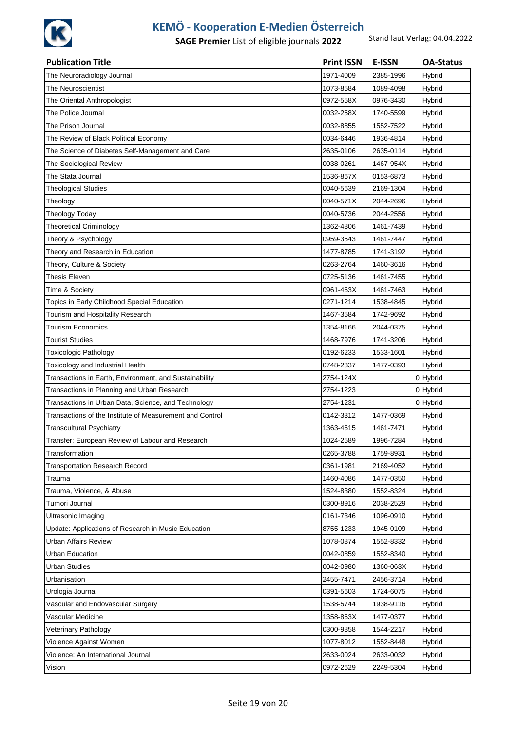

| <b>Publication Title</b>                                 | <b>Print ISSN</b> | <b>E-ISSN</b> | <b>OA-Status</b> |
|----------------------------------------------------------|-------------------|---------------|------------------|
| The Neuroradiology Journal                               | 1971-4009         | 2385-1996     | Hybrid           |
| The Neuroscientist                                       | 1073-8584         | 1089-4098     | Hybrid           |
| The Oriental Anthropologist                              | 0972-558X         | 0976-3430     | Hybrid           |
| The Police Journal                                       | 0032-258X         | 1740-5599     | Hybrid           |
| The Prison Journal                                       | 0032-8855         | 1552-7522     | Hybrid           |
| The Review of Black Political Economy                    | 0034-6446         | 1936-4814     | Hybrid           |
| The Science of Diabetes Self-Management and Care         | 2635-0106         | 2635-0114     | Hybrid           |
| The Sociological Review                                  | 0038-0261         | 1467-954X     | Hybrid           |
| The Stata Journal                                        | 1536-867X         | 0153-6873     | Hybrid           |
| <b>Theological Studies</b>                               | 0040-5639         | 2169-1304     | Hybrid           |
| Theology                                                 | 0040-571X         | 2044-2696     | Hybrid           |
| <b>Theology Today</b>                                    | 0040-5736         | 2044-2556     | Hybrid           |
| <b>Theoretical Criminology</b>                           | 1362-4806         | 1461-7439     | Hybrid           |
| Theory & Psychology                                      | 0959-3543         | 1461-7447     | Hybrid           |
| Theory and Research in Education                         | 1477-8785         | 1741-3192     | Hybrid           |
| Theory, Culture & Society                                | 0263-2764         | 1460-3616     | Hybrid           |
| Thesis Eleven                                            | 0725-5136         | 1461-7455     | Hybrid           |
| Time & Society                                           | 0961-463X         | 1461-7463     | Hybrid           |
| Topics in Early Childhood Special Education              | 0271-1214         | 1538-4845     | Hybrid           |
| Tourism and Hospitality Research                         | 1467-3584         | 1742-9692     | Hybrid           |
| <b>Tourism Economics</b>                                 | 1354-8166         | 2044-0375     | Hybrid           |
| <b>Tourist Studies</b>                                   | 1468-7976         | 1741-3206     | Hybrid           |
| Toxicologic Pathology                                    | 0192-6233         | 1533-1601     | Hybrid           |
| Toxicology and Industrial Health                         | 0748-2337         | 1477-0393     | Hybrid           |
| Transactions in Earth, Environment, and Sustainability   | 2754-124X         |               | 0 Hybrid         |
| Transactions in Planning and Urban Research              | 2754-1223         |               | 0 Hybrid         |
| Transactions in Urban Data, Science, and Technology      | 2754-1231         |               | 0 Hybrid         |
| Transactions of the Institute of Measurement and Control | 0142-3312         | 1477-0369     | Hybrid           |
| <b>Transcultural Psychiatry</b>                          | 1363-4615         | 1461-7471     | Hybrid           |
| Transfer: European Review of Labour and Research         | 1024-2589         | 1996-7284     | Hybrid           |
| Transformation                                           | 0265-3788         | 1759-8931     | Hybrid           |
| <b>Transportation Research Record</b>                    | 0361-1981         | 2169-4052     | Hybrid           |
| Trauma                                                   | 1460-4086         | 1477-0350     | Hybrid           |
| Trauma, Violence, & Abuse                                | 1524-8380         | 1552-8324     | Hybrid           |
| Tumori Journal                                           | 0300-8916         | 2038-2529     | Hybrid           |
| Ultrasonic Imaging                                       | 0161-7346         | 1096-0910     | Hybrid           |
| Update: Applications of Research in Music Education      | 8755-1233         | 1945-0109     | Hybrid           |
| Urban Affairs Review                                     | 1078-0874         | 1552-8332     | Hybrid           |
| Urban Education                                          | 0042-0859         | 1552-8340     | Hybrid           |
| <b>Urban Studies</b>                                     | 0042-0980         | 1360-063X     | Hybrid           |
| Urbanisation                                             | 2455-7471         | 2456-3714     | Hybrid           |
| Urologia Journal                                         | 0391-5603         | 1724-6075     | Hybrid           |
| Vascular and Endovascular Surgery                        | 1538-5744         | 1938-9116     | Hybrid           |
| Vascular Medicine                                        | 1358-863X         | 1477-0377     | Hybrid           |
| Veterinary Pathology                                     | 0300-9858         | 1544-2217     | Hybrid           |
| Violence Against Women                                   | 1077-8012         | 1552-8448     | Hybrid           |
| Violence: An International Journal                       | 2633-0024         | 2633-0032     | Hybrid           |
| Vision                                                   | 0972-2629         | 2249-5304     | Hybrid           |